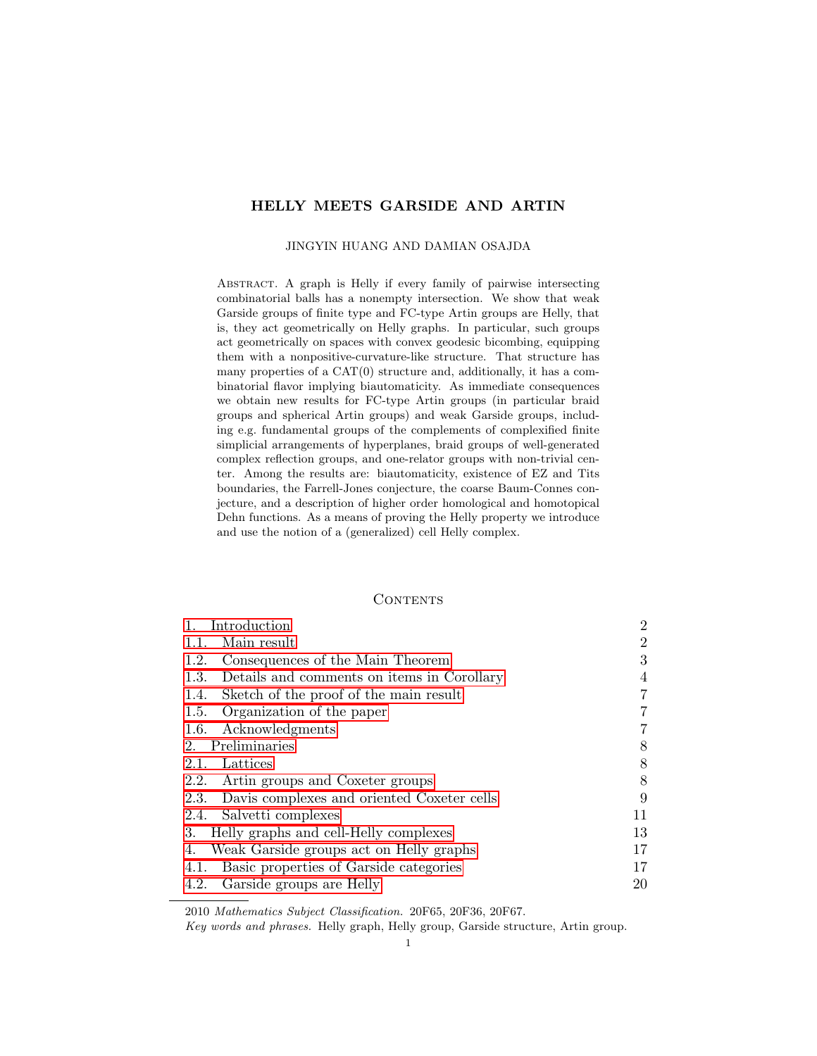# HELLY MEETS GARSIDE AND ARTIN

### JINGYIN HUANG AND DAMIAN OSAJDA

Abstract. A graph is Helly if every family of pairwise intersecting combinatorial balls has a nonempty intersection. We show that weak Garside groups of finite type and FC-type Artin groups are Helly, that is, they act geometrically on Helly graphs. In particular, such groups act geometrically on spaces with convex geodesic bicombing, equipping them with a nonpositive-curvature-like structure. That structure has many properties of a CAT(0) structure and, additionally, it has a combinatorial flavor implying biautomaticity. As immediate consequences we obtain new results for FC-type Artin groups (in particular braid groups and spherical Artin groups) and weak Garside groups, including e.g. fundamental groups of the complements of complexified finite simplicial arrangements of hyperplanes, braid groups of well-generated complex reflection groups, and one-relator groups with non-trivial center. Among the results are: biautomaticity, existence of EZ and Tits boundaries, the Farrell-Jones conjecture, the coarse Baum-Connes conjecture, and a description of higher order homological and homotopical Dehn functions. As a means of proving the Helly property we introduce and use the notion of a (generalized) cell Helly complex.

# **CONTENTS**

| Introduction                                       | $\overline{2}$ |
|----------------------------------------------------|----------------|
| Main result<br>1.1.                                | $\overline{2}$ |
| Consequences of the Main Theorem<br>1.2.           | 3              |
| Details and comments on items in Corollary<br>1.3. | 4              |
| Sketch of the proof of the main result<br>1.4.     | $\overline{7}$ |
| 1.5. Organization of the paper                     | 7              |
| 1.6. Acknowledgments                               | 7              |
| Preliminaries<br>2.                                | 8              |
| Lattices<br>2.1.                                   | 8              |
| 2.2. Artin groups and Coxeter groups               | 8              |
| 2.3. Davis complexes and oriented Coxeter cells    | 9              |
| 2.4. Salvetti complexes                            | 11             |
| Helly graphs and cell-Helly complexes<br>3.        | 13             |
| Weak Garside groups act on Helly graphs<br>4.      | 17             |
| Basic properties of Garside categories<br>4.1.     | 17             |
| Garside groups are Helly<br>4.2.                   | 20             |

2010 Mathematics Subject Classification. 20F65, 20F36, 20F67.

Key words and phrases. Helly graph, Helly group, Garside structure, Artin group.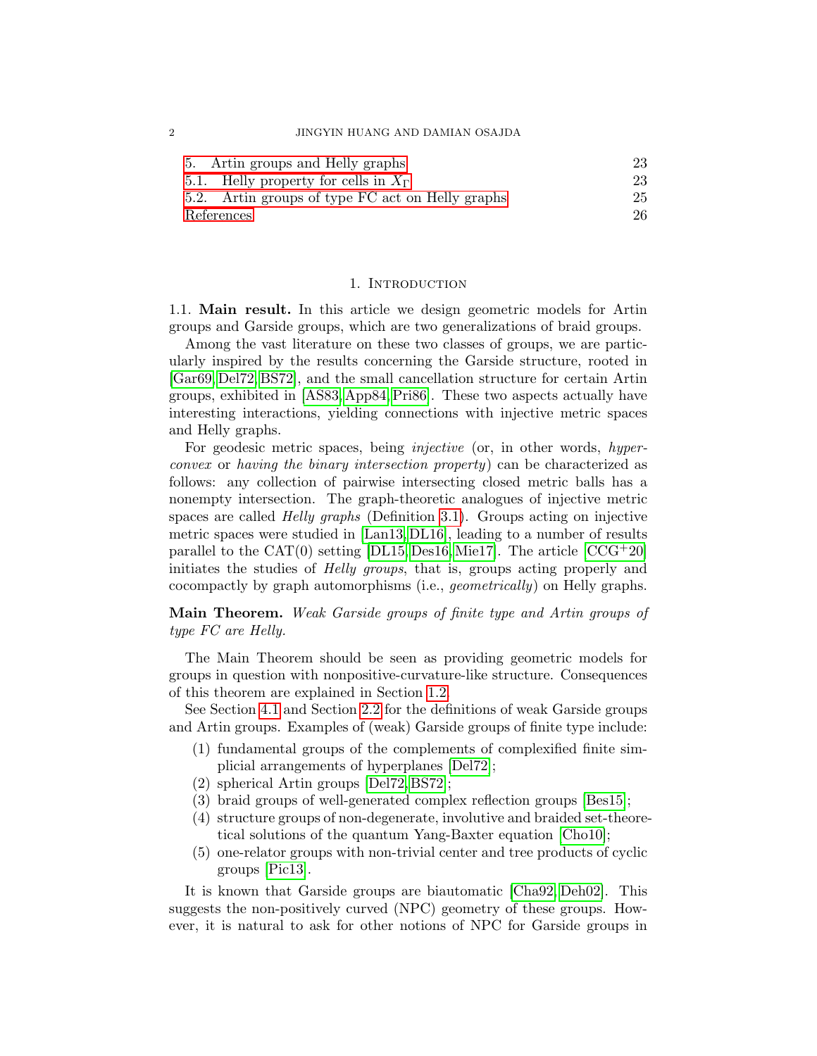2 JINGYIN HUANG AND DAMIAN OSAJDA

| 5. Artin groups and Helly graphs                 | 23 |
|--------------------------------------------------|----|
| 5.1. Helly property for cells in $X_{\Gamma}$    | 23 |
| 5.2. Artin groups of type FC act on Helly graphs | 25 |
| References                                       | 26 |

### 1. INTRODUCTION

<span id="page-1-1"></span><span id="page-1-0"></span>1.1. Main result. In this article we design geometric models for Artin groups and Garside groups, which are two generalizations of braid groups.

Among the vast literature on these two classes of groups, we are particularly inspired by the results concerning the Garside structure, rooted in [\[Gar69,](#page-27-0) [Del72,](#page-27-1) [BS72\]](#page-26-0), and the small cancellation structure for certain Artin groups, exhibited in [\[AS83,](#page-25-1) [App84,](#page-25-2) [Pri86\]](#page-28-0). These two aspects actually have interesting interactions, yielding connections with injective metric spaces and Helly graphs.

For geodesic metric spaces, being *injective* (or, in other words, *hyper*convex or having the binary intersection property) can be characterized as follows: any collection of pairwise intersecting closed metric balls has a nonempty intersection. The graph-theoretic analogues of injective metric spaces are called Helly graphs (Definition [3.1\)](#page-13-0). Groups acting on injective metric spaces were studied in [\[Lan13,](#page-28-1) [DL16\]](#page-27-2), leading to a number of results parallel to the  $CAT(0)$  setting [\[DL15,](#page-27-3) [Des16,](#page-27-4) [Mie17\]](#page-28-2). The article  $[CCG^+20]$ initiates the studies of Helly groups, that is, groups acting properly and cocompactly by graph automorphisms (i.e., geometrically) on Helly graphs.

Main Theorem. Weak Garside groups of finite type and Artin groups of type FC are Helly.

The Main Theorem should be seen as providing geometric models for groups in question with nonpositive-curvature-like structure. Consequences of this theorem are explained in Section [1.2.](#page-2-0)

See Section [4.1](#page-16-1) and Section [2.2](#page-7-2) for the definitions of weak Garside groups and Artin groups. Examples of (weak) Garside groups of finite type include:

- (1) fundamental groups of the complements of complexified finite simplicial arrangements of hyperplanes [\[Del72\]](#page-27-1);
- (2) spherical Artin groups [\[Del72,](#page-27-1) [BS72\]](#page-26-0);
- (3) braid groups of well-generated complex reflection groups [\[Bes15\]](#page-25-3);
- (4) structure groups of non-degenerate, involutive and braided set-theoretical solutions of the quantum Yang-Baxter equation [\[Cho10\]](#page-26-2);
- (5) one-relator groups with non-trivial center and tree products of cyclic groups [\[Pic13\]](#page-28-3).

It is known that Garside groups are biautomatic [\[Cha92,](#page-26-3) [Deh02\]](#page-27-5). This suggests the non-positively curved (NPC) geometry of these groups. However, it is natural to ask for other notions of NPC for Garside groups in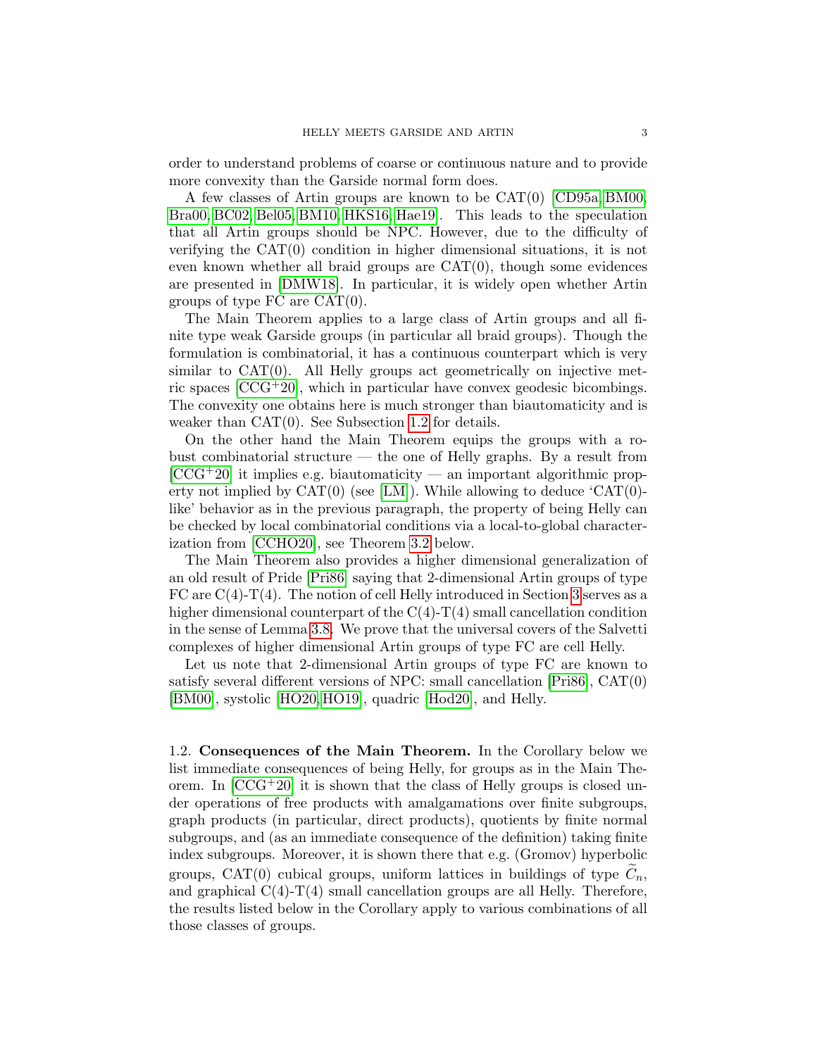order to understand problems of coarse or continuous nature and to provide more convexity than the Garside normal form does.

A few classes of Artin groups are known to be CAT(0) [\[CD95a,](#page-26-4) [BM00,](#page-26-5) [Bra00,](#page-26-6) [BC02,](#page-25-4) [Bel05,](#page-25-5) [BM10,](#page-26-7) [HKS16,](#page-27-6) [Hae19\]](#page-27-7). This leads to the speculation that all Artin groups should be NPC. However, due to the difficulty of verifying the CAT(0) condition in higher dimensional situations, it is not even known whether all braid groups are  $CAT(0)$ , though some evidences are presented in [\[DMW18\]](#page-27-8). In particular, it is widely open whether Artin groups of type FC are  $CAT(0)$ .

The Main Theorem applies to a large class of Artin groups and all finite type weak Garside groups (in particular all braid groups). Though the formulation is combinatorial, it has a continuous counterpart which is very similar to  $CAT(0)$ . All Helly groups act geometrically on injective metric spaces [\[CCG](#page-26-1)+20], which in particular have convex geodesic bicombings. The convexity one obtains here is much stronger than biautomaticity and is weaker than CAT(0). See Subsection [1.2](#page-2-0) for details.

On the other hand the Main Theorem equips the groups with a robust combinatorial structure — the one of Helly graphs. By a result from  $[CCG+20]$  $[CCG+20]$  it implies e.g. biautomaticity — an important algorithmic property not implied by  $CAT(0)$  (see [\[LM\]](#page-28-4)). While allowing to deduce 'CAT(0)like' behavior as in the previous paragraph, the property of being Helly can be checked by local combinatorial conditions via a local-to-global characterization from [\[CCHO20\]](#page-26-8), see Theorem [3.2](#page-13-1) below.

The Main Theorem also provides a higher dimensional generalization of an old result of Pride [\[Pri86\]](#page-28-0) saying that 2-dimensional Artin groups of type FC are  $C(4)-T(4)$ . The notion of cell Helly introduced in Section [3](#page-12-0) serves as a higher dimensional counterpart of the  $C(4)-T(4)$  small cancellation condition in the sense of Lemma [3.8.](#page-15-0) We prove that the universal covers of the Salvetti complexes of higher dimensional Artin groups of type FC are cell Helly.

Let us note that 2-dimensional Artin groups of type FC are known to satisfy several different versions of NPC: small cancellation [\[Pri86\]](#page-28-0), CAT(0) [\[BM00\]](#page-26-5), systolic [\[HO20,](#page-27-9) [HO19\]](#page-27-10), quadric [\[Hod20\]](#page-27-11), and Helly.

<span id="page-2-0"></span>1.2. Consequences of the Main Theorem. In the Corollary below we list immediate consequences of being Helly, for groups as in the Main Theorem. In  $[CCG^+20]$  it is shown that the class of Helly groups is closed under operations of free products with amalgamations over finite subgroups, graph products (in particular, direct products), quotients by finite normal subgroups, and (as an immediate consequence of the definition) taking finite index subgroups. Moreover, it is shown there that e.g. (Gromov) hyperbolic groups, CAT(0) cubical groups, uniform lattices in buildings of type  $C_n$ , and graphical  $C(4)-T(4)$  small cancellation groups are all Helly. Therefore, the results listed below in the Corollary apply to various combinations of all those classes of groups.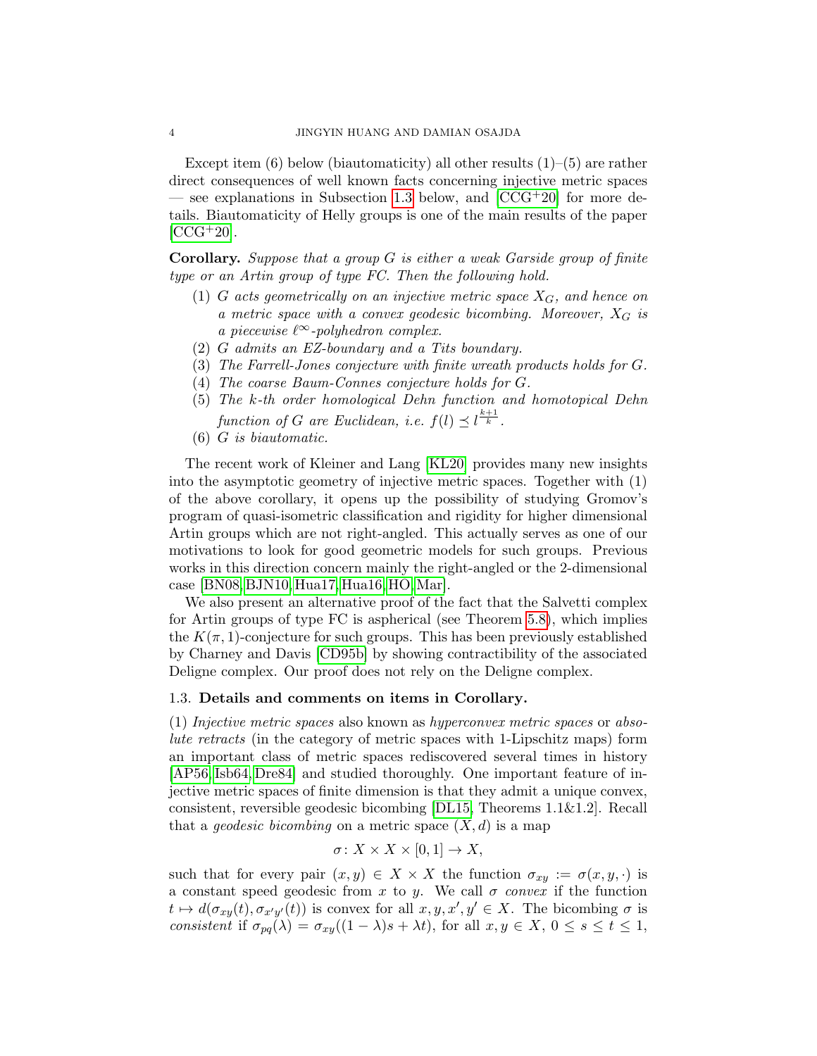Except item (6) below (biautomaticity) all other results  $(1)$ – $(5)$  are rather direct consequences of well known facts concerning injective metric spaces — see explanations in Subsection [1.3](#page-3-0) below, and  $[CCG^+20]$  for more details. Biautomaticity of Helly groups is one of the main results of the paper  $[CCG+20]$  $[CCG+20]$ .

**Corollary.** Suppose that a group  $G$  is either a weak Garside group of finite type or an Artin group of type FC. Then the following hold.

- (1) G acts geometrically on an injective metric space  $X_G$ , and hence on a metric space with a convex geodesic bicombing. Moreover,  $X_G$  is a piecewise  $\ell^{\infty}$ -polyhedron complex.
- (2) G admits an EZ-boundary and a Tits boundary.
- (3) The Farrell-Jones conjecture with finite wreath products holds for G.
- (4) The coarse Baum-Connes conjecture holds for G.
- (5) The k-th order homological Dehn function and homotopical Dehn function of G are Euclidean, i.e.  $f(l) \preceq l^{\frac{k+1}{k}}$ .
- (6) G is biautomatic.

The recent work of Kleiner and Lang [\[KL20\]](#page-28-5) provides many new insights into the asymptotic geometry of injective metric spaces. Together with (1) of the above corollary, it opens up the possibility of studying Gromov's program of quasi-isometric classification and rigidity for higher dimensional Artin groups which are not right-angled. This actually serves as one of our motivations to look for good geometric models for such groups. Previous works in this direction concern mainly the right-angled or the 2-dimensional case [\[BN08,](#page-26-9) [BJN10,](#page-26-10) [Hua17,](#page-28-6) [Hua16,](#page-28-7) [HO,](#page-28-8)[Mar\]](#page-28-9).

We also present an alternative proof of the fact that the Salvetti complex for Artin groups of type FC is aspherical (see Theorem [5.8\)](#page-25-6), which implies the  $K(\pi, 1)$ -conjecture for such groups. This has been previously established by Charney and Davis [\[CD95b\]](#page-26-11) by showing contractibility of the associated Deligne complex. Our proof does not rely on the Deligne complex.

### <span id="page-3-0"></span>1.3. Details and comments on items in Corollary.

(1) Injective metric spaces also known as hyperconvex metric spaces or absolute retracts (in the category of metric spaces with 1-Lipschitz maps) form an important class of metric spaces rediscovered several times in history [\[AP56,](#page-25-7) [Isb64,](#page-28-10) [Dre84\]](#page-27-12) and studied thoroughly. One important feature of injective metric spaces of finite dimension is that they admit a unique convex, consistent, reversible geodesic bicombing [\[DL15,](#page-27-3) Theorems 1.1&1.2]. Recall that a *geodesic bicombing* on a metric space  $(X, d)$  is a map

$$
\sigma \colon X \times X \times [0,1] \to X,
$$

such that for every pair  $(x, y) \in X \times X$  the function  $\sigma_{xy} := \sigma(x, y, \cdot)$  is a constant speed geodesic from x to y. We call  $\sigma$  convex if the function  $t \mapsto d(\sigma_{xy}(t), \sigma_{x'y'}(t))$  is convex for all  $x, y, x', y' \in X$ . The bicombing  $\sigma$  is consistent if  $\sigma_{pq}(\lambda) = \sigma_{xy}((1-\lambda)s + \lambda t)$ , for all  $x, y \in X$ ,  $0 \le s \le t \le 1$ ,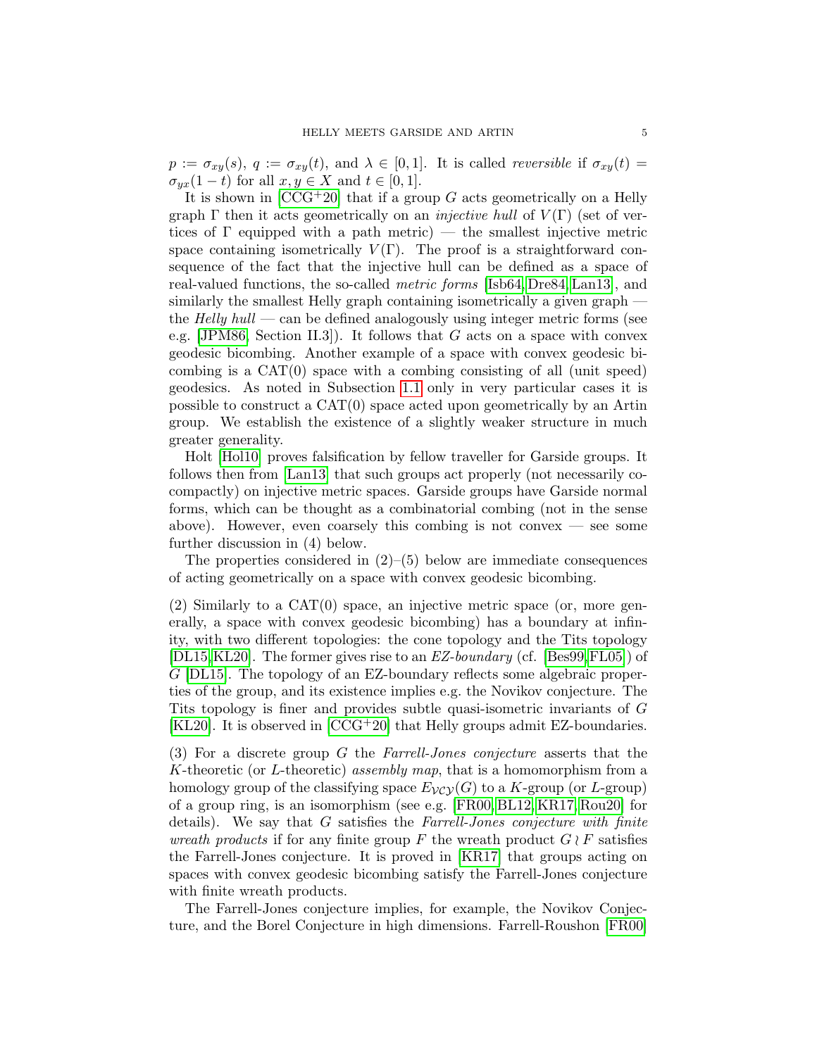$p := \sigma_{xy}(s), q := \sigma_{xy}(t),$  and  $\lambda \in [0,1].$  It is called *reversible* if  $\sigma_{xy}(t) =$  $\sigma_{yx}(1-t)$  for all  $x, y \in X$  and  $t \in [0,1]$ .

It is shown in  $[CCG^+20]$  that if a group G acts geometrically on a Helly graph  $\Gamma$  then it acts geometrically on an *injective hull* of  $V(\Gamma)$  (set of vertices of  $\Gamma$  equipped with a path metric) — the smallest injective metric space containing isometrically  $V(\Gamma)$ . The proof is a straightforward consequence of the fact that the injective hull can be defined as a space of real-valued functions, the so-called metric forms [\[Isb64,](#page-28-10) [Dre84,](#page-27-12) [Lan13\]](#page-28-1), and similarly the smallest Helly graph containing isometrically a given graph the  $Helly$  hull — can be defined analogously using integer metric forms (see e.g. [\[JPM86,](#page-28-11) Section II.3]). It follows that  $G$  acts on a space with convex geodesic bicombing. Another example of a space with convex geodesic bicombing is a CAT(0) space with a combing consisting of all (unit speed) geodesics. As noted in Subsection [1.1](#page-1-1) only in very particular cases it is possible to construct a CAT(0) space acted upon geometrically by an Artin group. We establish the existence of a slightly weaker structure in much greater generality.

Holt [\[Hol10\]](#page-28-12) proves falsification by fellow traveller for Garside groups. It follows then from [\[Lan13\]](#page-28-1) that such groups act properly (not necessarily cocompactly) on injective metric spaces. Garside groups have Garside normal forms, which can be thought as a combinatorial combing (not in the sense above). However, even coarsely this combing is not convex  $-$  see some further discussion in (4) below.

The properties considered in  $(2)$ – $(5)$  below are immediate consequences of acting geometrically on a space with convex geodesic bicombing.

(2) Similarly to a CAT(0) space, an injective metric space (or, more generally, a space with convex geodesic bicombing) has a boundary at infinity, with two different topologies: the cone topology and the Tits topology [\[DL15,](#page-27-3)[KL20\]](#page-28-5). The former gives rise to an EZ-boundary (cf. [\[Bes99,](#page-26-12)[FL05\]](#page-27-13)) of G [\[DL15\]](#page-27-3). The topology of an EZ-boundary reflects some algebraic properties of the group, and its existence implies e.g. the Novikov conjecture. The Tits topology is finer and provides subtle quasi-isometric invariants of G [\[KL20\]](#page-28-5). It is observed in [\[CCG](#page-26-1)+20] that Helly groups admit EZ-boundaries.

(3) For a discrete group G the Farrell-Jones conjecture asserts that the K-theoretic (or L-theoretic) assembly map, that is a homomorphism from a homology group of the classifying space  $E_{VCY}(G)$  to a K-group (or L-group) of a group ring, is an isomorphism (see e.g. [\[FR00,](#page-27-14) [BL12,](#page-26-13) [KR17,](#page-28-13) [Rou20\]](#page-28-14) for details). We say that  $G$  satisfies the Farrell-Jones conjecture with finite wreath products if for any finite group F the wreath product  $G \wr F$  satisfies the Farrell-Jones conjecture. It is proved in [\[KR17\]](#page-28-13) that groups acting on spaces with convex geodesic bicombing satisfy the Farrell-Jones conjecture with finite wreath products.

The Farrell-Jones conjecture implies, for example, the Novikov Conjecture, and the Borel Conjecture in high dimensions. Farrell-Roushon [\[FR00\]](#page-27-14)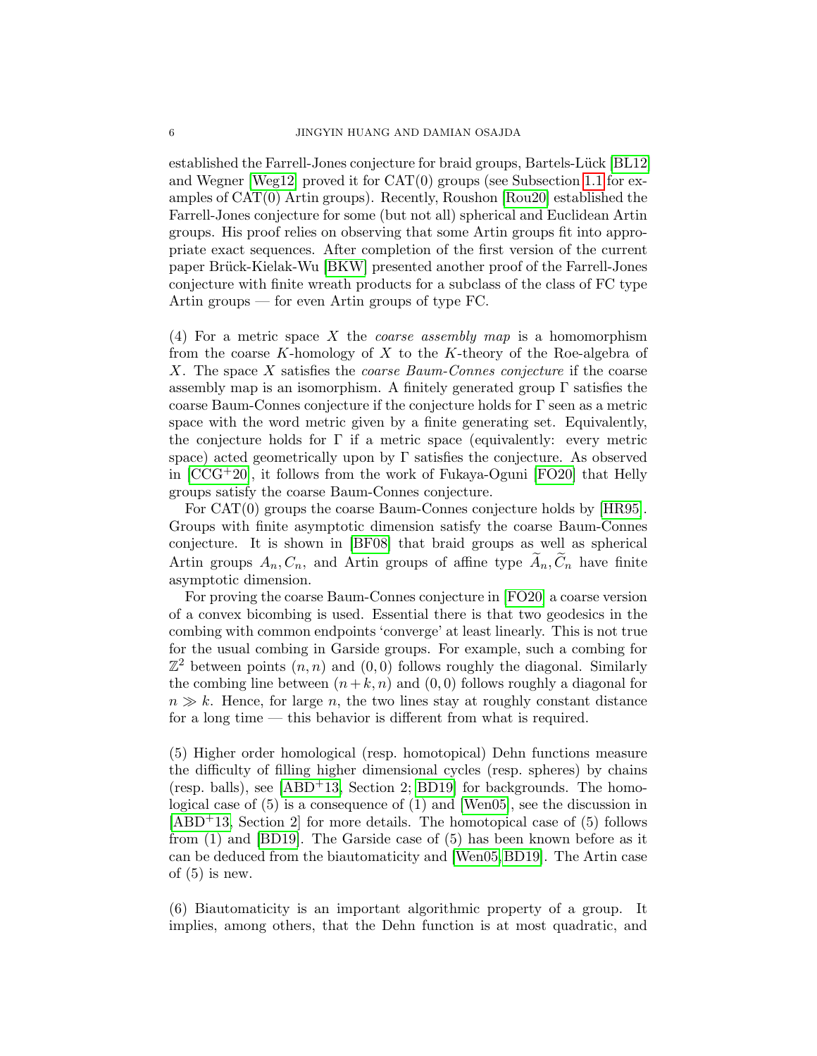established the Farrell-Jones conjecture for braid groups, Bartels-Lück [\[BL12\]](#page-26-13) and Wegner [\[Weg12\]](#page-29-0) proved it for  $CAT(0)$  groups (see Subsection [1.1](#page-1-1) for examples of CAT(0) Artin groups). Recently, Roushon [\[Rou20\]](#page-28-14) established the Farrell-Jones conjecture for some (but not all) spherical and Euclidean Artin groups. His proof relies on observing that some Artin groups fit into appropriate exact sequences. After completion of the first version of the current paper Brück-Kielak-Wu [\[BKW\]](#page-26-14) presented another proof of the Farrell-Jones conjecture with finite wreath products for a subclass of the class of FC type Artin groups — for even Artin groups of type FC.

(4) For a metric space X the *coarse assembly map* is a homomorphism from the coarse  $K$ -homology of  $X$  to the  $K$ -theory of the Roe-algebra of X. The space X satisfies the *coarse Baum-Connes conjecture* if the coarse assembly map is an isomorphism. A finitely generated group  $\Gamma$  satisfies the coarse Baum-Connes conjecture if the conjecture holds for Γ seen as a metric space with the word metric given by a finite generating set. Equivalently, the conjecture holds for  $\Gamma$  if a metric space (equivalently: every metric space) acted geometrically upon by  $\Gamma$  satisfies the conjecture. As observed in  $[CCG+20]$ , it follows from the work of Fukaya-Oguni  $[FO20]$  that Helly groups satisfy the coarse Baum-Connes conjecture.

For CAT(0) groups the coarse Baum-Connes conjecture holds by [\[HR95\]](#page-28-15). Groups with finite asymptotic dimension satisfy the coarse Baum-Connes conjecture. It is shown in [\[BF08\]](#page-26-15) that braid groups as well as spherical Artin groups  $A_n, C_n$ , and Artin groups of affine type  $\widetilde{A}_n, \widetilde{C}_n$  have finite asymptotic dimension.

For proving the coarse Baum-Connes conjecture in [\[FO20\]](#page-27-15) a coarse version of a convex bicombing is used. Essential there is that two geodesics in the combing with common endpoints 'converge' at least linearly. This is not true for the usual combing in Garside groups. For example, such a combing for  $\mathbb{Z}^2$  between points  $(n, n)$  and  $(0, 0)$  follows roughly the diagonal. Similarly the combing line between  $(n+k, n)$  and  $(0, 0)$  follows roughly a diagonal for  $n \gg k$ . Hence, for large n, the two lines stay at roughly constant distance for a long time — this behavior is different from what is required.

(5) Higher order homological (resp. homotopical) Dehn functions measure the difficulty of filling higher dimensional cycles (resp. spheres) by chains (resp. balls), see  $[ABD+13, Section 2; BD19]$  $[ABD+13, Section 2; BD19]$  for backgrounds. The homological case of (5) is a consequence of (1) and [\[Wen05\]](#page-29-1), see the discussion in  $[ABD+13, Section 2]$  $[ABD+13, Section 2]$  for more details. The homotopical case of  $(5)$  follows from (1) and [\[BD19\]](#page-25-9). The Garside case of (5) has been known before as it can be deduced from the biautomaticity and [\[Wen05,](#page-29-1)[BD19\]](#page-25-9). The Artin case of  $(5)$  is new.

(6) Biautomaticity is an important algorithmic property of a group. It implies, among others, that the Dehn function is at most quadratic, and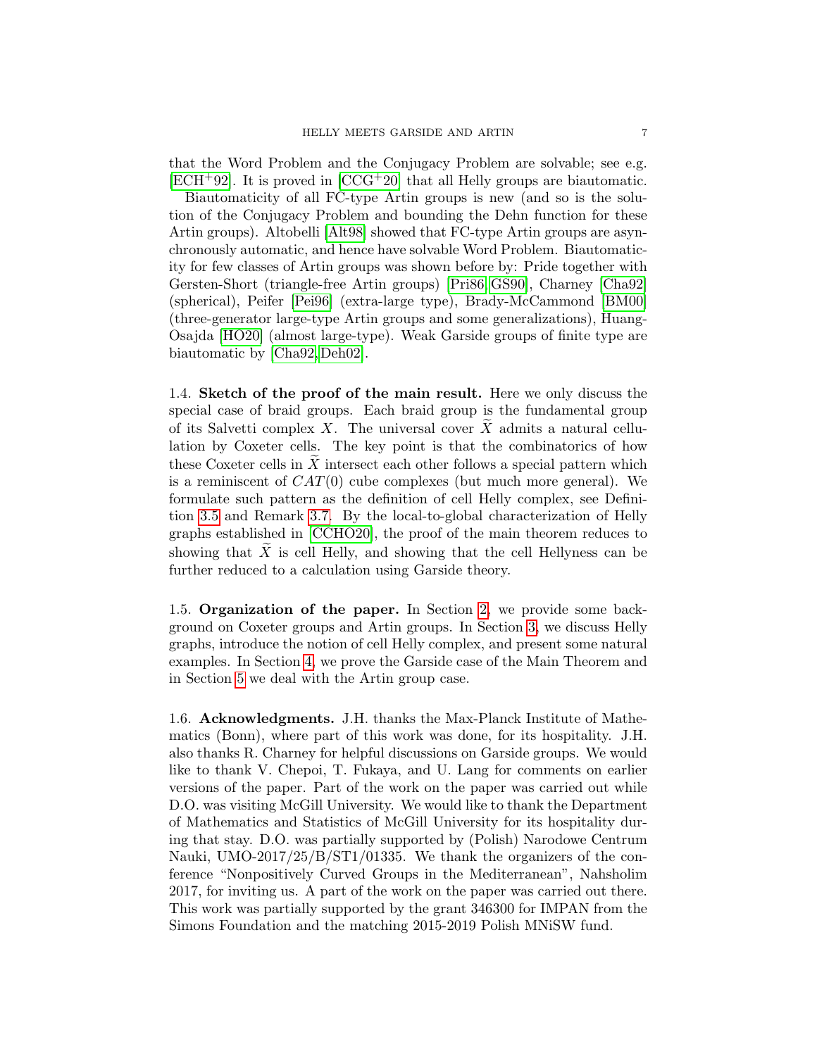that the Word Problem and the Conjugacy Problem are solvable; see e.g.  $[ECH^+92]$  $[ECH^+92]$ . It is proved in  $[CCG^+20]$  that all Helly groups are biautomatic.

Biautomaticity of all FC-type Artin groups is new (and so is the solution of the Conjugacy Problem and bounding the Dehn function for these Artin groups). Altobelli [\[Alt98\]](#page-25-10) showed that FC-type Artin groups are asynchronously automatic, and hence have solvable Word Problem. Biautomaticity for few classes of Artin groups was shown before by: Pride together with Gersten-Short (triangle-free Artin groups) [\[Pri86,](#page-28-0) [GS90\]](#page-27-17), Charney [\[Cha92\]](#page-26-3) (spherical), Peifer [\[Pei96\]](#page-28-16) (extra-large type), Brady-McCammond [\[BM00\]](#page-26-5) (three-generator large-type Artin groups and some generalizations), Huang-Osajda [\[HO20\]](#page-27-9) (almost large-type). Weak Garside groups of finite type are biautomatic by [\[Cha92,](#page-26-3) [Deh02\]](#page-27-5).

<span id="page-6-0"></span>1.4. Sketch of the proof of the main result. Here we only discuss the special case of braid groups. Each braid group is the fundamental group of its Salvetti complex X. The universal cover  $\widetilde{X}$  admits a natural cellulation by Coxeter cells. The key point is that the combinatorics of how these Coxeter cells in  $\tilde{X}$  intersect each other follows a special pattern which is a reminiscent of  $CAT(0)$  cube complexes (but much more general). We formulate such pattern as the definition of cell Helly complex, see Definition [3.5](#page-14-0) and Remark [3.7.](#page-14-1) By the local-to-global characterization of Helly graphs established in [\[CCHO20\]](#page-26-8), the proof of the main theorem reduces to showing that  $\tilde{X}$  is cell Helly, and showing that the cell Hellyness can be further reduced to a calculation using Garside theory.

<span id="page-6-1"></span>1.5. Organization of the paper. In Section [2,](#page-7-0) we provide some background on Coxeter groups and Artin groups. In Section [3,](#page-12-0) we discuss Helly graphs, introduce the notion of cell Helly complex, and present some natural examples. In Section [4,](#page-16-0) we prove the Garside case of the Main Theorem and in Section [5](#page-22-0) we deal with the Artin group case.

<span id="page-6-2"></span>1.6. Acknowledgments. J.H. thanks the Max-Planck Institute of Mathematics (Bonn), where part of this work was done, for its hospitality. J.H. also thanks R. Charney for helpful discussions on Garside groups. We would like to thank V. Chepoi, T. Fukaya, and U. Lang for comments on earlier versions of the paper. Part of the work on the paper was carried out while D.O. was visiting McGill University. We would like to thank the Department of Mathematics and Statistics of McGill University for its hospitality during that stay. D.O. was partially supported by (Polish) Narodowe Centrum Nauki, UMO-2017/25/B/ST1/01335. We thank the organizers of the conference "Nonpositively Curved Groups in the Mediterranean", Nahsholim 2017, for inviting us. A part of the work on the paper was carried out there. This work was partially supported by the grant 346300 for IMPAN from the Simons Foundation and the matching 2015-2019 Polish MNiSW fund.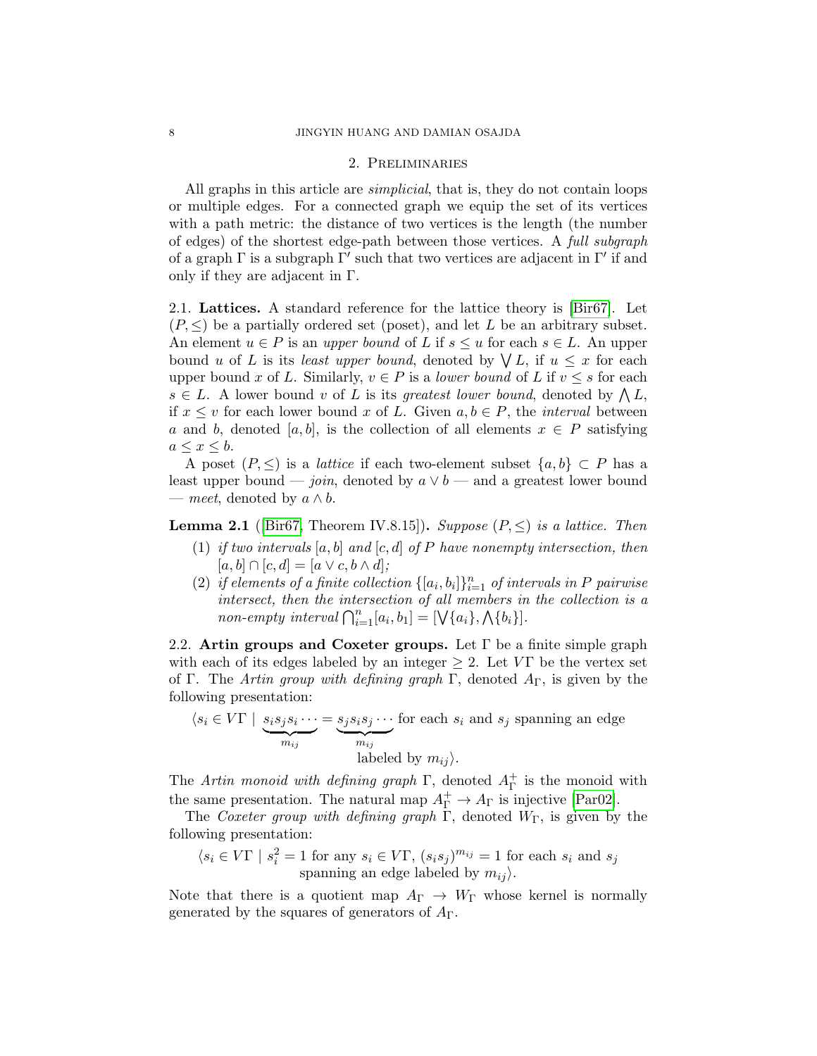#### 2. Preliminaries

<span id="page-7-0"></span>All graphs in this article are *simplicial*, that is, they do not contain loops or multiple edges. For a connected graph we equip the set of its vertices with a path metric: the distance of two vertices is the length (the number of edges) of the shortest edge-path between those vertices. A full subgraph of a graph  $\Gamma$  is a subgraph  $\Gamma'$  such that two vertices are adjacent in  $\Gamma'$  if and only if they are adjacent in Γ.

<span id="page-7-1"></span>2.1. Lattices. A standard reference for the lattice theory is [\[Bir67\]](#page-26-16). Let  $(P, \leq)$  be a partially ordered set (poset), and let L be an arbitrary subset. An element  $u \in P$  is an upper bound of L if  $s \leq u$  for each  $s \in L$ . An upper bound u of L is its least upper bound, denoted by  $\bigvee L$ , if  $u \leq x$  for each upper bound x of L. Similarly,  $v \in P$  is a *lower bound* of L if  $v \leq s$  for each  $s \in L$ . A lower bound v of L is its greatest lower bound, denoted by  $\bigwedge L$ , if  $x \leq v$  for each lower bound x of L. Given  $a, b \in P$ , the *interval* between a and b, denoted [a, b], is the collection of all elements  $x \in P$  satisfying  $a \leq x \leq b$ .

A poset  $(P, \leq)$  is a *lattice* if each two-element subset  $\{a, b\} \subset P$  has a least upper bound — join, denoted by  $a \vee b$  — and a greatest lower bound — meet, denoted by  $a \wedge b$ .

<span id="page-7-3"></span>**Lemma 2.1** ([\[Bir67,](#page-26-16) Theorem IV.8.15]). Suppose  $(P, \leq)$  is a lattice. Then

- (1) if two intervals  $[a, b]$  and  $[c, d]$  of P have nonempty intersection, then  $[a, b] \cap [c, d] = [a \vee c, b \wedge d];$
- (2) if elements of a finite collection  $\{[a_i, b_i]\}_{i=1}^n$  of intervals in P pairwise intersect, then the intersection of all members in the collection is a non-empty interval  $\bigcap_{i=1}^n [a_i, b_1] = [\bigvee \{a_i\}, \bigwedge \{b_i\}]$ .

<span id="page-7-2"></span>2.2. Artin groups and Coxeter groups. Let  $\Gamma$  be a finite simple graph with each of its edges labeled by an integer  $\geq 2$ . Let VT be the vertex set of Γ. The Artin group with defining graph Γ, denoted  $A_{\Gamma}$ , is given by the following presentation:

 $\langle s_i \in V\Gamma \mid s_i s_j s_i \cdots$  ${m_{ij}}$  $= s_j s_i s_j \cdots$  ${m_{ij}}$ for each  $s_i$  and  $s_j$  spanning an edge labeled by  $m_{ii}$ .

The Artin monoid with defining graph  $\Gamma$ , denoted  $A_{\Gamma}^{+}$  is the monoid with Γ the same presentation. The natural map  $A_{\Gamma}^+ \to A_{\Gamma}$  is injective [\[Par02\]](#page-28-17).

The Coxeter group with defining graph  $\Gamma$ , denoted  $W_{\Gamma}$ , is given by the following presentation:

$$
\langle s_i \in V\Gamma \mid s_i^2 = 1 \text{ for any } s_i \in V\Gamma, (s_i s_j)^{m_{ij}} = 1 \text{ for each } s_i \text{ and } s_j
$$
  
spanning an edge labeled by  $m_{ij}$ ).

Note that there is a quotient map  $A_{\Gamma} \to W_{\Gamma}$  whose kernel is normally generated by the squares of generators of  $A_{\Gamma}$ .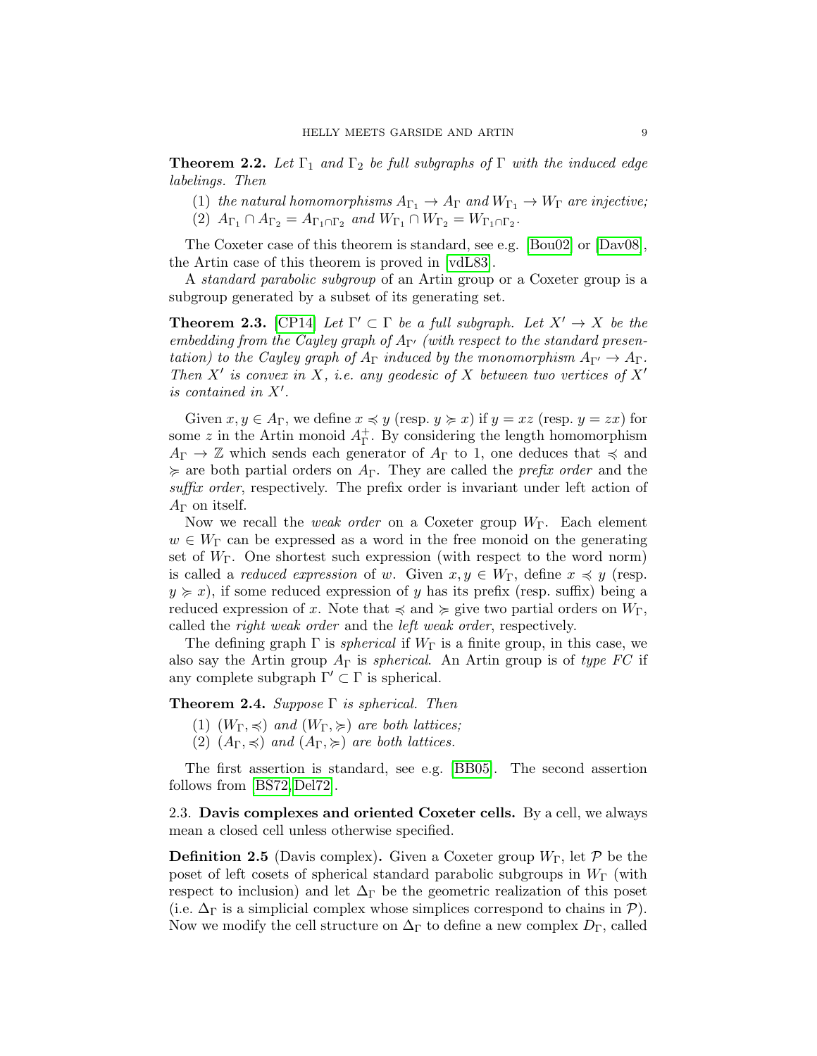<span id="page-8-1"></span>**Theorem 2.2.** Let  $\Gamma_1$  and  $\Gamma_2$  be full subgraphs of  $\Gamma$  with the induced edge labelings. Then

(1) the natural homomorphisms  $A_{\Gamma_1} \to A_{\Gamma}$  and  $W_{\Gamma_1} \to W_{\Gamma}$  are injective;

(2)  $A_{\Gamma_1} \cap A_{\Gamma_2} = A_{\Gamma_1 \cap \Gamma_2}$  and  $W_{\Gamma_1} \cap W_{\Gamma_2} = W_{\Gamma_1 \cap \Gamma_2}$ .

The Coxeter case of this theorem is standard, see e.g. [\[Bou02\]](#page-26-17) or [\[Dav08\]](#page-27-18), the Artin case of this theorem is proved in [\[vdL83\]](#page-28-18).

A standard parabolic subgroup of an Artin group or a Coxeter group is a subgroup generated by a subset of its generating set.

<span id="page-8-2"></span>**Theorem 2.3.** [\[CP14\]](#page-27-19) Let  $\Gamma' \subset \Gamma$  be a full subgraph. Let  $X' \to X$  be the embedding from the Cayley graph of  $A_{\Gamma}$  (with respect to the standard presentation) to the Cayley graph of  $A_{\Gamma}$  induced by the monomorphism  $A_{\Gamma'} \to A_{\Gamma}$ . Then  $X'$  is convex in X, i.e. any geodesic of X between two vertices of  $X'$ is contained in  $X'$ .

Given  $x, y \in A_{\Gamma}$ , we define  $x \preccurlyeq y$  (resp.  $y \succeq x$ ) if  $y = xz$  (resp.  $y = zx$ ) for some z in the Artin monoid  $A_{\Gamma}^+$ Γ . By considering the length homomorphism  $A_{\Gamma} \to \mathbb{Z}$  which sends each generator of  $A_{\Gamma}$  to 1, one deduces that  $\preccurlyeq$  and  $\succeq$  are both partial orders on  $A_{\Gamma}$ . They are called the *prefix order* and the suffix order, respectively. The prefix order is invariant under left action of  $A_{\Gamma}$  on itself.

Now we recall the *weak order* on a Coxeter group  $W_{\Gamma}$ . Each element  $w \in W_{\Gamma}$  can be expressed as a word in the free monoid on the generating set of  $W_{\Gamma}$ . One shortest such expression (with respect to the word norm) is called a *reduced expression* of w. Given  $x, y \in W_{\Gamma}$ , define  $x \preccurlyeq y$  (resp.  $y \geq x$ , if some reduced expression of y has its prefix (resp. suffix) being a reduced expression of x. Note that  $\preccurlyeq$  and  $\succeq$  give two partial orders on  $W_{\Gamma}$ , called the right weak order and the left weak order, respectively.

The defining graph  $\Gamma$  is *spherical* if  $W_{\Gamma}$  is a finite group, in this case, we also say the Artin group  $A_{\Gamma}$  is *spherical*. An Artin group is of type FC if any complete subgraph  $\Gamma' \subset \Gamma$  is spherical.

<span id="page-8-3"></span>**Theorem 2.4.** Suppose  $\Gamma$  is spherical. Then

- (1)  $(W_{\Gamma}, \preccurlyeq)$  and  $(W_{\Gamma}, \succcurlyeq)$  are both lattices;
- (2)  $(A_{\Gamma}, \preccurlyeq)$  and  $(A_{\Gamma}, \succeq)$  are both lattices.

The first assertion is standard, see e.g. [\[BB05\]](#page-25-11). The second assertion follows from [\[BS72,](#page-26-0) [Del72\]](#page-27-1).

<span id="page-8-0"></span>2.3. Davis complexes and oriented Coxeter cells. By a cell, we always mean a closed cell unless otherwise specified.

**Definition 2.5** (Davis complex). Given a Coxeter group  $W_{\Gamma}$ , let  $\mathcal{P}$  be the poset of left cosets of spherical standard parabolic subgroups in  $W_{\Gamma}$  (with respect to inclusion) and let  $\Delta_{\Gamma}$  be the geometric realization of this poset (i.e.  $\Delta_{\Gamma}$  is a simplicial complex whose simplices correspond to chains in  $P$ ). Now we modify the cell structure on  $\Delta_{\Gamma}$  to define a new complex  $D_{\Gamma}$ , called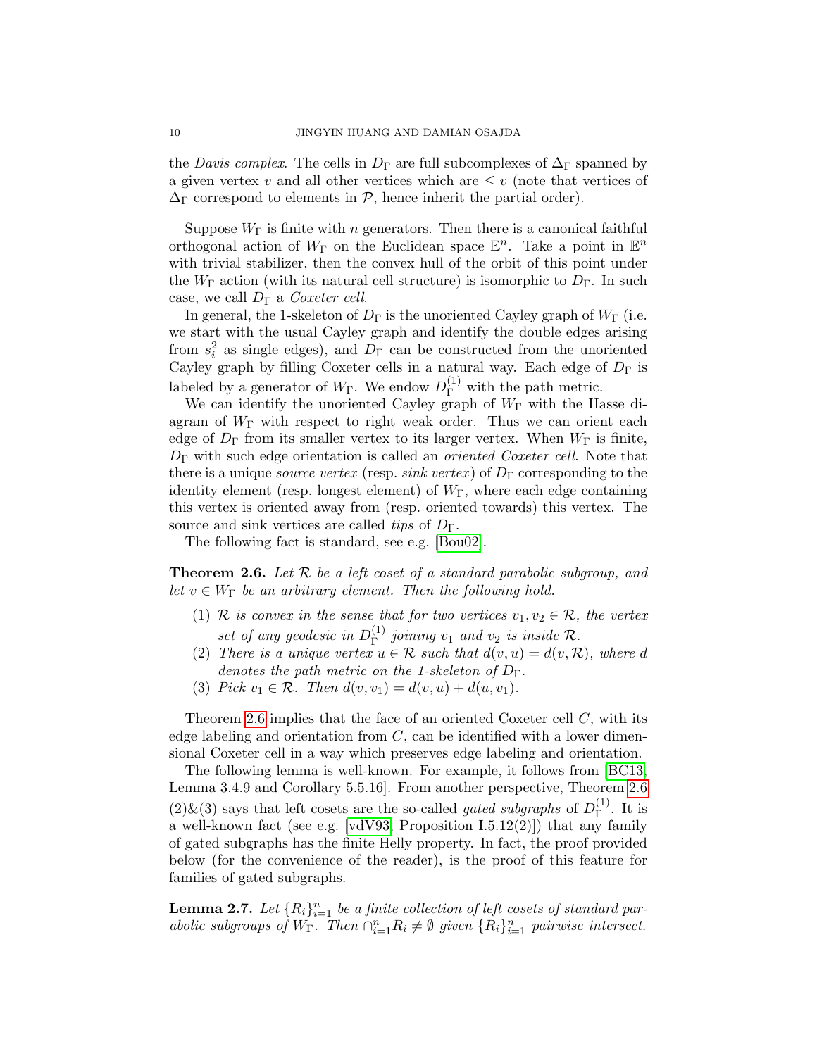the Davis complex. The cells in  $D_{\Gamma}$  are full subcomplexes of  $\Delta_{\Gamma}$  spanned by a given vertex v and all other vertices which are  $\leq v$  (note that vertices of  $\Delta_{\Gamma}$  correspond to elements in  $\mathcal{P}$ , hence inherit the partial order).

Suppose  $W_{\Gamma}$  is finite with n generators. Then there is a canonical faithful orthogonal action of  $W_{\Gamma}$  on the Euclidean space  $\mathbb{E}^n$ . Take a point in  $\mathbb{E}^n$ with trivial stabilizer, then the convex hull of the orbit of this point under the  $W_{\Gamma}$  action (with its natural cell structure) is isomorphic to  $D_{\Gamma}$ . In such case, we call  $D_{\Gamma}$  a *Coxeter cell.* 

In general, the 1-skeleton of  $D_{\Gamma}$  is the unoriented Cayley graph of  $W_{\Gamma}$  (i.e. we start with the usual Cayley graph and identify the double edges arising from  $s_i^2$  as single edges), and  $D_{\Gamma}$  can be constructed from the unoriented Cayley graph by filling Coxeter cells in a natural way. Each edge of  $D_{\Gamma}$  is labeled by a generator of  $W_{\Gamma}$ . We endow  $D_{\Gamma}^{(1)}$  with the path metric.

We can identify the unoriented Cayley graph of  $W_{\Gamma}$  with the Hasse diagram of  $W_{\Gamma}$  with respect to right weak order. Thus we can orient each edge of  $D_{\Gamma}$  from its smaller vertex to its larger vertex. When  $W_{\Gamma}$  is finite,  $D_{\Gamma}$  with such edge orientation is called an *oriented Coxeter cell*. Note that there is a unique *source vertex* (resp. *sink vertex*) of  $D_{\Gamma}$  corresponding to the identity element (resp. longest element) of  $W_{\Gamma}$ , where each edge containing this vertex is oriented away from (resp. oriented towards) this vertex. The source and sink vertices are called tips of  $D_{\Gamma}$ .

The following fact is standard, see e.g. [\[Bou02\]](#page-26-17).

<span id="page-9-0"></span>**Theorem 2.6.** Let  $\mathcal{R}$  be a left coset of a standard parabolic subgroup, and let  $v \in W_{\Gamma}$  be an arbitrary element. Then the following hold.

- (1) R is convex in the sense that for two vertices  $v_1, v_2 \in \mathcal{R}$ , the vertex set of any geodesic in  $D_{\Gamma}^{(1)}$  $\Gamma^{(1)}$  joining  $v_1$  and  $v_2$  is inside  $\mathcal{R}$ .
- (2) There is a unique vertex  $u \in \mathcal{R}$  such that  $d(v, u) = d(v, \mathcal{R})$ , where d denotes the path metric on the 1-skeleton of  $D_{\Gamma}$ .
- (3) Pick  $v_1 \in \mathcal{R}$ . Then  $d(v, v_1) = d(v, u) + d(u, v_1)$ .

Theorem [2.6](#page-9-0) implies that the face of an oriented Coxeter cell  $C$ , with its edge labeling and orientation from  $C$ , can be identified with a lower dimensional Coxeter cell in a way which preserves edge labeling and orientation.

The following lemma is well-known. For example, it follows from [\[BC13,](#page-25-12) Lemma 3.4.9 and Corollary 5.5.16]. From another perspective, Theorem [2.6](#page-9-0)  $(2)$ &(3) says that left cosets are the so-called *gated subgraphs* of  $D_{\Gamma}^{(1)}$  $\Gamma^{(1)}$ . It is a well-known fact (see e.g. [\[vdV93,](#page-29-2) Proposition I.5.12(2)]) that any family of gated subgraphs has the finite Helly property. In fact, the proof provided below (for the convenience of the reader), is the proof of this feature for families of gated subgraphs.

<span id="page-9-1"></span>**Lemma 2.7.** Let  $\{R_i\}_{i=1}^n$  be a finite collection of left cosets of standard parabolic subgroups of  $W_{\Gamma}$ . Then  $\bigcap_{i=1}^{n} R_i \neq \emptyset$  given  $\{R_i\}_{i=1}^{n}$  pairwise intersect.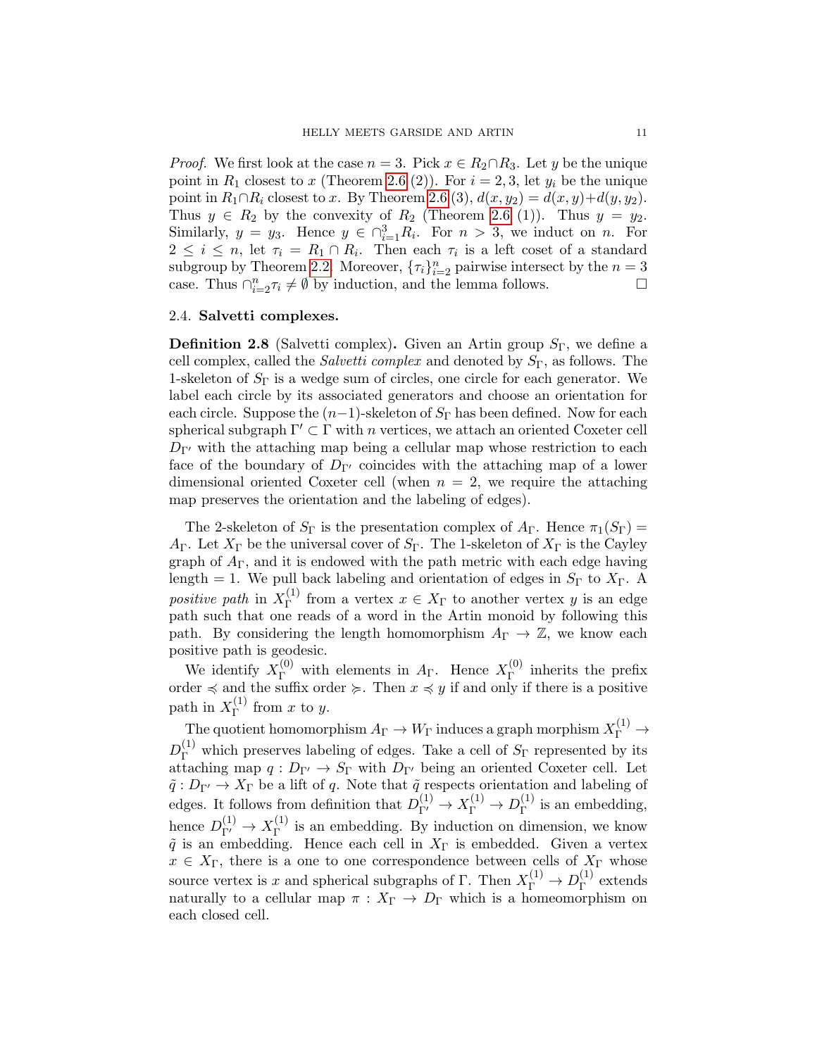*Proof.* We first look at the case  $n = 3$ . Pick  $x \in R_2 \cap R_3$ . Let y be the unique point in  $R_1$  closest to x (Theorem [2.6](#page-9-0) (2)). For  $i = 2, 3$ , let  $y_i$  be the unique point in  $R_1 \cap R_i$  closest to x. By Theorem [2.6](#page-9-0) (3),  $d(x, y_2) = d(x, y) + d(y, y_2)$ . Thus  $y \in R_2$  by the convexity of  $R_2$  (Theorem [2.6](#page-9-0) (1)). Thus  $y = y_2$ . Similarly,  $y = y_3$ . Hence  $y \in \bigcap_{i=1}^3 R_i$ . For  $n > 3$ , we induct on n. For  $2 \leq i \leq n$ , let  $\tau_i = R_1 \cap R_i$ . Then each  $\tau_i$  is a left coset of a standard subgroup by Theorem [2.2.](#page-8-1) Moreover,  $\{\tau_i\}_{i=2}^n$  pairwise intersect by the  $n=3$ case. Thus  $\bigcap_{i=2}^n \tau_i \neq \emptyset$  by induction, and the lemma follows.

#### <span id="page-10-0"></span>2.4. Salvetti complexes.

**Definition 2.8** (Salvetti complex). Given an Artin group  $S_{\Gamma}$ , we define a cell complex, called the *Salvetti complex* and denoted by  $S_{\Gamma}$ , as follows. The 1-skeleton of  $S_{\Gamma}$  is a wedge sum of circles, one circle for each generator. We label each circle by its associated generators and choose an orientation for each circle. Suppose the  $(n-1)$ -skeleton of  $S_{\Gamma}$  has been defined. Now for each spherical subgraph  $\Gamma' \subset \Gamma$  with n vertices, we attach an oriented Coxeter cell  $D_{\Gamma}$  with the attaching map being a cellular map whose restriction to each face of the boundary of  $D_{\Gamma}$  coincides with the attaching map of a lower dimensional oriented Coxeter cell (when  $n = 2$ , we require the attaching map preserves the orientation and the labeling of edges).

The 2-skeleton of  $S_{\Gamma}$  is the presentation complex of  $A_{\Gamma}$ . Hence  $\pi_1(S_{\Gamma})$  =  $A_{\Gamma}$ . Let  $X_{\Gamma}$  be the universal cover of  $S_{\Gamma}$ . The 1-skeleton of  $X_{\Gamma}$  is the Cayley graph of  $A_{\Gamma}$ , and it is endowed with the path metric with each edge having length = 1. We pull back labeling and orientation of edges in  $S_{\Gamma}$  to  $X_{\Gamma}$ . A positive path in  $X_{\Gamma}^{(1)}$  $T_{\Gamma}^{(1)}$  from a vertex  $x \in X_{\Gamma}$  to another vertex y is an edge path such that one reads of a word in the Artin monoid by following this path. By considering the length homomorphism  $A_{\Gamma} \to \mathbb{Z}$ , we know each positive path is geodesic.

We identify  $X_{\Gamma}^{(0)}$  with elements in  $A_{\Gamma}$ . Hence  $X_{\Gamma}^{(0)}$  $\Gamma$ <sup>(0)</sup> inherits the prefix order  $\preccurlyeq$  and the suffix order  $\succcurlyeq$ . Then  $x \preccurlyeq y$  if and only if there is a positive path in  $X_{\Gamma}^{(1)}$  $\int_{\Gamma}^{(1)}$  from x to y.

The quotient homomorphism  $A_\Gamma \to W_\Gamma$  induces a graph morphism  $X^{(1)}_\Gamma \to$  $D_{\Gamma}^{(1)}$  which preserves labeling of edges. Take a cell of  $S_{\Gamma}$  represented by its attaching map  $q: D_{\Gamma'} \to S_{\Gamma}$  with  $D_{\Gamma'}$  being an oriented Coxeter cell. Let  $\tilde{q}: D_{\Gamma'} \to X_{\Gamma}$  be a lift of q. Note that  $\tilde{q}$  respects orientation and labeling of edges. It follows from definition that  $D_{\Gamma'}^{(1)} \to X_{\Gamma}^{(1)} \to D_{\Gamma}^{(1)}$  $\Gamma$ <sup>(1)</sup> is an embedding, hence  $D_{\Gamma'}^{(1)} \to X_{\Gamma}^{(1)}$  $\Gamma$ <sup>(1)</sup> is an embedding. By induction on dimension, we know  $\tilde{q}$  is an embedding. Hence each cell in  $X_{\Gamma}$  is embedded. Given a vertex  $x \in X_{\Gamma}$ , there is a one to one correspondence between cells of  $X_{\Gamma}$  whose source vertex is x and spherical subgraphs of  $\Gamma$ . Then  $X_{\Gamma}^{(1)} \to D_{\Gamma}^{(1)}$  $\Gamma$ <sup>(1)</sup> extends naturally to a cellular map  $\pi : X_{\Gamma} \to D_{\Gamma}$  which is a homeomorphism on each closed cell.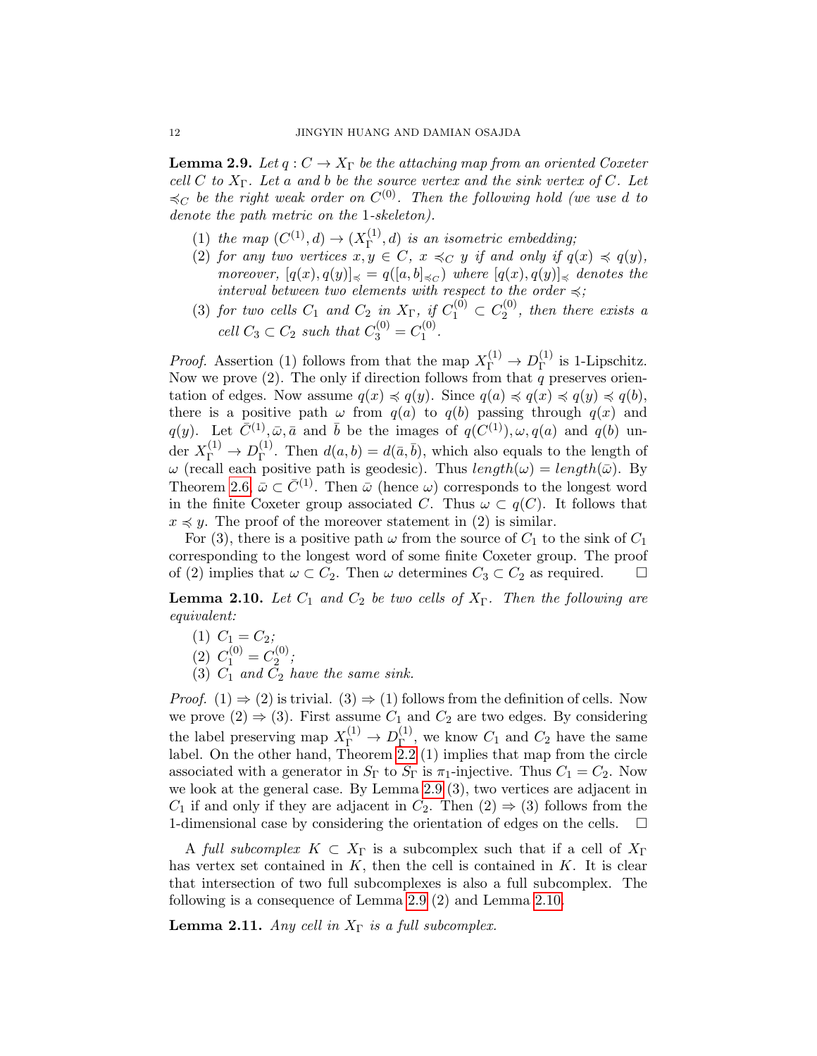<span id="page-11-0"></span>**Lemma 2.9.** Let  $q: C \to X_\Gamma$  be the attaching map from an oriented Coxeter cell C to  $X_{\Gamma}$ . Let a and b be the source vertex and the sink vertex of C. Let  $\preccurlyeq_C$  be the right weak order on  $C^{(0)}$ . Then the following hold (we use d to denote the path metric on the 1-skeleton).

- (1) the map  $(C^{(1)}, d) \to (X_{\Gamma}^{(1)})$  $\Gamma^{(1)}(R)$  is an isometric embedding;
- (2) for any two vertices  $x, y \in C$ ,  $x \preccurlyeq_C y$  if and only if  $q(x) \preccurlyeq q(y)$ , moreover,  $[q(x), q(y)]_{\preccurlyeq} = q([a, b]_{\preccurlyeq c})$  where  $[q(x), q(y)]_{\preccurlyeq}$  denotes the interval between two elements with respect to the order  $\preccurlyeq$ ;
- (3) for two cells  $C_1$  and  $C_2$  in  $X_{\Gamma}$ , if  $C_1^{(0)} \subset C_2^{(0)}$  $2^{(0)}$ , then there exists a cell  $C_3 \subset C_2$  such that  $C_3^{(0)} = C_1^{(0)}$  $\frac{1}{1}^{(0)}$ .

*Proof.* Assertion (1) follows from that the map  $X_{\Gamma}^{(1)} \to D_{\Gamma}^{(1)}$  $\Gamma^{(1)}$  is 1-Lipschitz. Now we prove (2). The only if direction follows from that  $q$  preserves orientation of edges. Now assume  $q(x) \preccurlyeq q(y)$ . Since  $q(a) \preccurlyeq q(x) \preccurlyeq q(y) \preccurlyeq q(b)$ , there is a positive path  $\omega$  from  $q(a)$  to  $q(b)$  passing through  $q(x)$  and q(y). Let  $\overline{C}^{(1)}, \overline{\omega}, \overline{a}$  and  $\overline{b}$  be the images of  $q(C^{(1)}), \omega, q(a)$  and  $q(b)$  under  $X_{\Gamma}^{(1)} \to D_{\Gamma}^{(1)}$ <sup>(1)</sup>. Then  $d(a, b) = d(\bar{a}, \bar{b})$ , which also equals to the length of  $\omega$  (recall each positive path is geodesic). Thus  $length(\omega) = length(\bar{\omega})$ . By Theorem [2.6,](#page-9-0)  $\bar{\omega} \subset \bar{C}^{(1)}$ . Then  $\bar{\omega}$  (hence  $\omega$ ) corresponds to the longest word in the finite Coxeter group associated C. Thus  $\omega \subset q(C)$ . It follows that  $x \preccurlyeq y$ . The proof of the moreover statement in (2) is similar.

For (3), there is a positive path  $\omega$  from the source of  $C_1$  to the sink of  $C_1$ corresponding to the longest word of some finite Coxeter group. The proof of (2) implies that  $\omega \subset C_2$ . Then  $\omega$  determines  $C_3 \subset C_2$  as required.  $\square$ 

<span id="page-11-1"></span>**Lemma 2.10.** Let  $C_1$  and  $C_2$  be two cells of  $X_{\Gamma}$ . Then the following are equivalent:

- (1)  $C_1 = C_2;$
- (2)  $C_1^{(0)} = C_2^{(0)}$  $2^{(0)}$ ;
- (3)  $C_1$  and  $C_2$  have the same sink.

*Proof.* (1)  $\Rightarrow$  (2) is trivial. (3)  $\Rightarrow$  (1) follows from the definition of cells. Now we prove  $(2) \Rightarrow (3)$ . First assume  $C_1$  and  $C_2$  are two edges. By considering the label preserving map  $X_{\Gamma}^{(1)} \to D_{\Gamma}^{(1)}$  $\Gamma^{(1)}$ , we know  $C_1$  and  $C_2$  have the same label. On the other hand, Theorem [2.2](#page-8-1) (1) implies that map from the circle associated with a generator in  $S_{\Gamma}$  to  $S_{\Gamma}$  is  $\pi_1$ -injective. Thus  $C_1 = C_2$ . Now we look at the general case. By Lemma [2.9](#page-11-0) (3), two vertices are adjacent in  $C_1$  if and only if they are adjacent in  $C_2$ . Then  $(2) \Rightarrow (3)$  follows from the 1-dimensional case by considering the orientation of edges on the cells.  $\Box$ 

A full subcomplex  $K \subset X_{\Gamma}$  is a subcomplex such that if a cell of  $X_{\Gamma}$ has vertex set contained in  $K$ , then the cell is contained in  $K$ . It is clear that intersection of two full subcomplexes is also a full subcomplex. The following is a consequence of Lemma [2.9](#page-11-0) (2) and Lemma [2.10.](#page-11-1)

<span id="page-11-2"></span>**Lemma 2.11.** Any cell in  $X_{\Gamma}$  is a full subcomplex.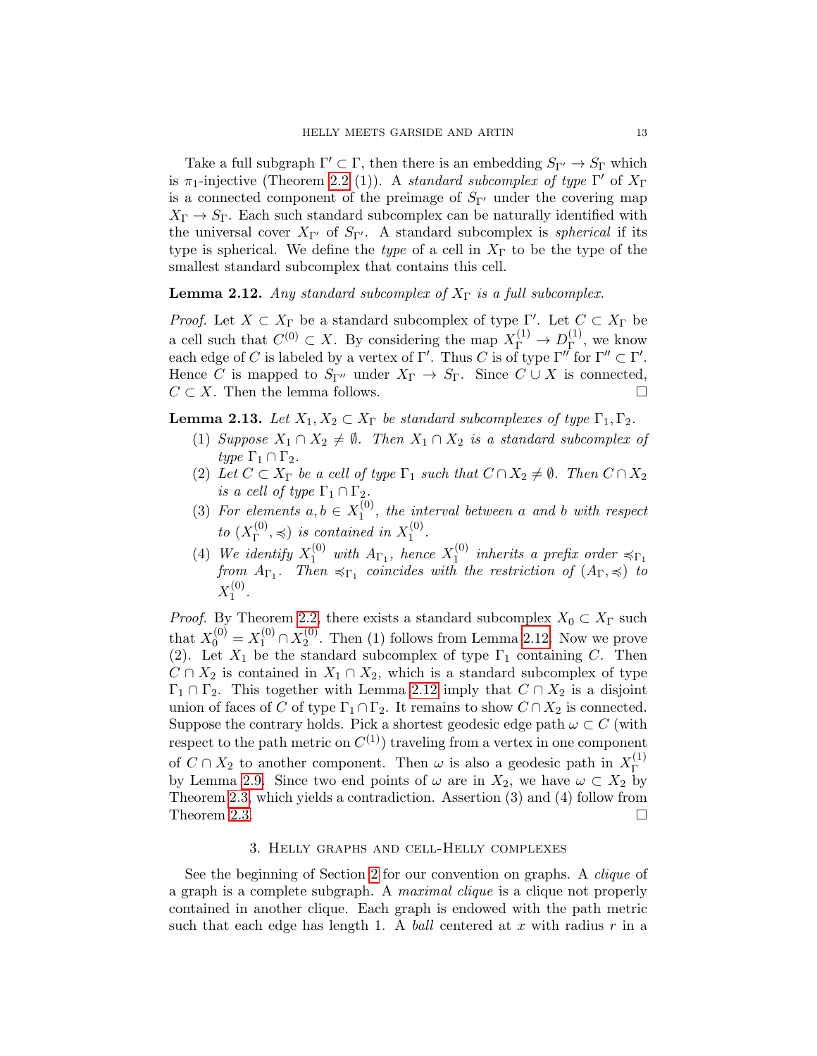Take a full subgraph  $\Gamma' \subset \Gamma$ , then there is an embedding  $S_{\Gamma'} \to S_{\Gamma}$  which is  $\pi_1$ -injective (Theorem [2.2](#page-8-1) (1)). A standard subcomplex of type  $\Gamma'$  of  $X_{\Gamma}$ is a connected component of the preimage of  $S_{\Gamma}$  under the covering map  $X_{\Gamma} \rightarrow S_{\Gamma}$ . Each such standard subcomplex can be naturally identified with the universal cover  $X_{\Gamma'}$  of  $S_{\Gamma'}$ . A standard subcomplex is *spherical* if its type is spherical. We define the type of a cell in  $X_{\Gamma}$  to be the type of the smallest standard subcomplex that contains this cell.

# <span id="page-12-1"></span>**Lemma 2.12.** Any standard subcomplex of  $X_{\Gamma}$  is a full subcomplex.

*Proof.* Let  $X \subset X_{\Gamma}$  be a standard subcomplex of type  $\Gamma'$ . Let  $C \subset X_{\Gamma}$  be a cell such that  $C^{(0)} \subset X$ . By considering the map  $X_{\Gamma}^{(1)} \to D_{\Gamma}^{(1)}$  $\Gamma^{(1)}$ , we know each edge of C is labeled by a vertex of  $\Gamma'$ . Thus C is of type  $\Gamma''$  for  $\Gamma'' \subset \Gamma'$ . Hence C is mapped to  $S_{\Gamma}$  under  $X_{\Gamma} \to S_{\Gamma}$ . Since  $C \cup X$  is connected,  $C \subset X$ . Then the lemma follows.

<span id="page-12-2"></span>**Lemma 2.13.** Let  $X_1, X_2 \subset X_\Gamma$  be standard subcomplexes of type  $\Gamma_1, \Gamma_2$ .

- (1) Suppose  $X_1 \cap X_2 \neq \emptyset$ . Then  $X_1 \cap X_2$  is a standard subcomplex of type  $\Gamma_1 \cap \Gamma_2$ .
- (2) Let  $C \subset X_{\Gamma}$  be a cell of type  $\Gamma_1$  such that  $C \cap X_2 \neq \emptyset$ . Then  $C \cap X_2$ is a cell of type  $\Gamma_1 \cap \Gamma_2$ .
- (3) For elements  $a, b \in X_1^{(0)}$  $1^{(0)}$ , the interval between a and b with respect to  $(X_{\Gamma}^{(0)}$  $T^{(0)}_{\Gamma}$ ,  $\preccurlyeq$ ) is contained in  $X_1^{(0)}$  $\frac{1}{1}$ .
- (4) We identify  $X_1^{(0)}$  with  $A_{\Gamma_1}$ , hence  $X_1^{(0)}$  $1^{(0)}$  inherits a prefix order  $\preccurlyeq_{\Gamma_1}$ from  $A_{\Gamma_1}$ . Then  $\preccurlyeq_{\Gamma_1}$  coincides with the restriction of  $(A_{\Gamma}, \preccurlyeq)$  to  $X_1^{(0)}$  $\frac{1}{1}$ .

*Proof.* By Theorem [2.2,](#page-8-1) there exists a standard subcomplex  $X_0 \subset X_\Gamma$  such that  $X_0^{(0)} = X_1^{(0)} \cap X_2^{(0)}$  $2^{(0)}$ . Then (1) follows from Lemma [2.12.](#page-12-1) Now we prove (2). Let  $X_1$  be the standard subcomplex of type  $\Gamma_1$  containing C. Then  $C \cap X_2$  is contained in  $X_1 \cap X_2$ , which is a standard subcomplex of type  $\Gamma_1 \cap \Gamma_2$ . This together with Lemma [2.12](#page-12-1) imply that  $C \cap X_2$  is a disjoint union of faces of C of type  $\Gamma_1 \cap \Gamma_2$ . It remains to show  $C \cap X_2$  is connected. Suppose the contrary holds. Pick a shortest geodesic edge path  $\omega \subset C$  (with respect to the path metric on  $C^{(1)}$  traveling from a vertex in one component of  $C \cap X_2$  to another component. Then  $\omega$  is also a geodesic path in  $X_{\Gamma}^{(1)}$ Γ by Lemma [2.9.](#page-11-0) Since two end points of  $\omega$  are in  $X_2$ , we have  $\omega \subset X_2$  by Theorem [2.3,](#page-8-2) which yields a contradiction. Assertion (3) and (4) follow from Theorem [2.3.](#page-8-2)  $\Box$ 

#### 3. Helly graphs and cell-Helly complexes

<span id="page-12-0"></span>See the beginning of Section [2](#page-7-0) for our convention on graphs. A clique of a graph is a complete subgraph. A maximal clique is a clique not properly contained in another clique. Each graph is endowed with the path metric such that each edge has length 1. A ball centered at x with radius  $r$  in a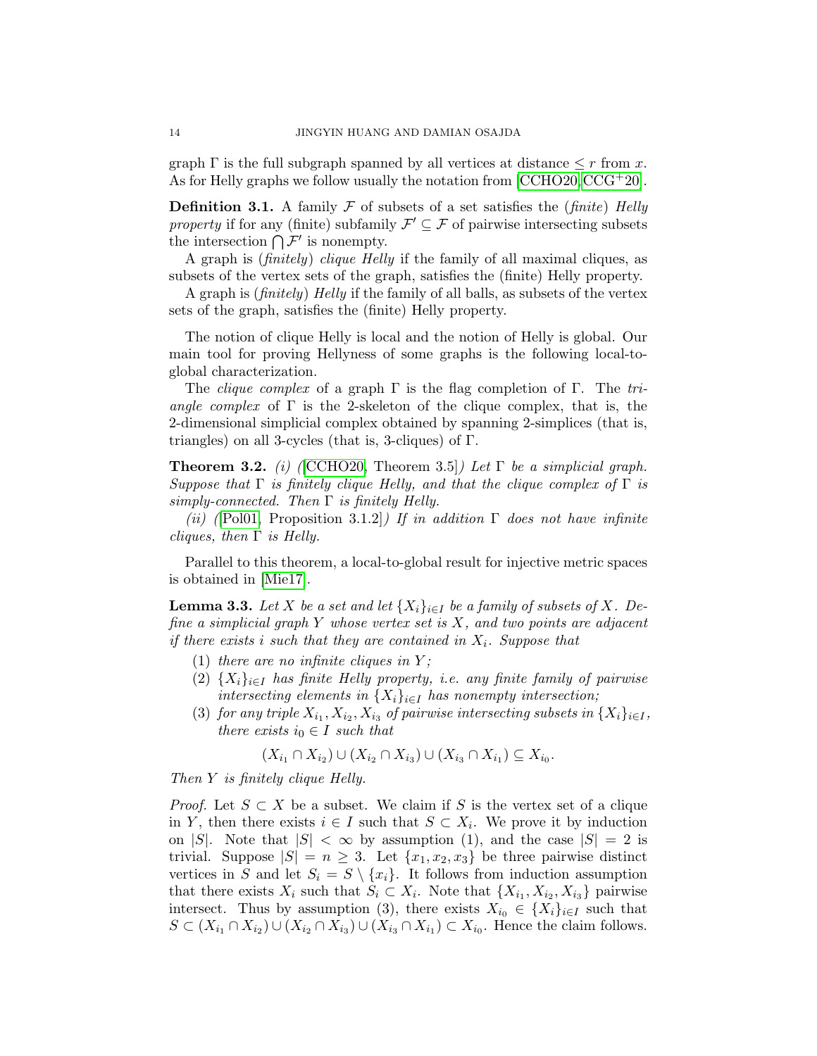graph  $\Gamma$  is the full subgraph spanned by all vertices at distance  $\leq r$  from x. As for Helly graphs we follow usually the notation from  $[{\rm CCHO20},{\rm CCG^+20}]$  $[{\rm CCHO20},{\rm CCG^+20}]$  $[{\rm CCHO20},{\rm CCG^+20}]$ .

<span id="page-13-0"></span>**Definition 3.1.** A family  $\mathcal F$  of subsets of a set satisfies the *(finite) Helly* property if for any (finite) subfamily  $\mathcal{F}' \subseteq \mathcal{F}$  of pairwise intersecting subsets the intersection  $\bigcap \mathcal{F}'$  is nonempty.

A graph is (finitely) clique Helly if the family of all maximal cliques, as subsets of the vertex sets of the graph, satisfies the (finite) Helly property.

A graph is (finitely) Helly if the family of all balls, as subsets of the vertex sets of the graph, satisfies the (finite) Helly property.

The notion of clique Helly is local and the notion of Helly is global. Our main tool for proving Hellyness of some graphs is the following local-toglobal characterization.

The *clique complex* of a graph  $\Gamma$  is the flag completion of  $\Gamma$ . The triangle complex of  $\Gamma$  is the 2-skeleton of the clique complex, that is, the 2-dimensional simplicial complex obtained by spanning 2-simplices (that is, triangles) on all 3-cycles (that is, 3-cliques) of Γ.

<span id="page-13-1"></span>**Theorem 3.2.** (i) (CCHO20, Theorem 3.5)) Let  $\Gamma$  be a simplicial graph. Suppose that  $\Gamma$  is finitely clique Helly, and that the clique complex of  $\Gamma$  is simply-connected. Then  $\Gamma$  is finitely Helly.

(ii) ([\[Pol01,](#page-28-19) Proposition 3.1.2]) If in addition  $\Gamma$  does not have infinite *cliques, then*  $\Gamma$  *is Helly.* 

Parallel to this theorem, a local-to-global result for injective metric spaces is obtained in [\[Mie17\]](#page-28-2).

<span id="page-13-2"></span>**Lemma 3.3.** Let X be a set and let  $\{X_i\}_{i\in I}$  be a family of subsets of X. Define a simplicial graph  $Y$  whose vertex set is  $X$ , and two points are adjacent if there exists i such that they are contained in  $X_i$ . Suppose that

- (1) there are no infinite cliques in  $Y$ ;
- (2)  $\{X_i\}_{i\in I}$  has finite Helly property, i.e. any finite family of pairwise intersecting elements in  $\{X_i\}_{i\in I}$  has nonempty intersection;
- (3) for any triple  $X_{i_1}, X_{i_2}, X_{i_3}$  of pairwise intersecting subsets in  $\{X_i\}_{i\in I}$ , there exists  $i_0 \in I$  such that

$$
(X_{i_1} \cap X_{i_2}) \cup (X_{i_2} \cap X_{i_3}) \cup (X_{i_3} \cap X_{i_1}) \subseteq X_{i_0}.
$$

Then Y is finitely clique Helly.

*Proof.* Let  $S \subset X$  be a subset. We claim if S is the vertex set of a clique in Y, then there exists  $i \in I$  such that  $S \subset X_i$ . We prove it by induction on |S|. Note that  $|S| < \infty$  by assumption (1), and the case  $|S| = 2$  is trivial. Suppose  $|S| = n \geq 3$ . Let  $\{x_1, x_2, x_3\}$  be three pairwise distinct vertices in S and let  $S_i = S \setminus \{x_i\}$ . It follows from induction assumption that there exists  $X_i$  such that  $S_i \subset X_i$ . Note that  $\{X_{i_1}, X_{i_2}, X_{i_3}\}$  pairwise intersect. Thus by assumption (3), there exists  $X_{i_0} \in \{X_i\}_{i\in I}$  such that  $S \subset (X_{i_1} \cap X_{i_2}) \cup (X_{i_2} \cap X_{i_3}) \cup (X_{i_3} \cap X_{i_1}) \subset X_{i_0}$ . Hence the claim follows.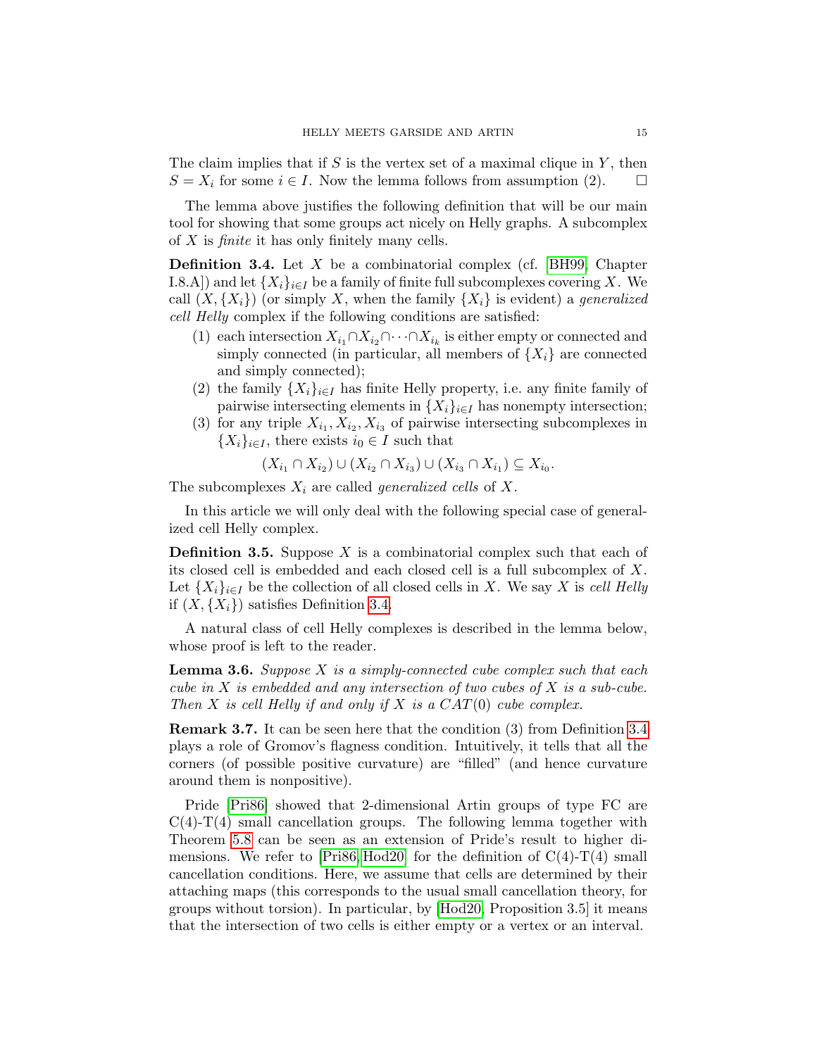The claim implies that if  $S$  is the vertex set of a maximal clique in  $Y$ , then  $S = X_i$  for some  $i \in I$ . Now the lemma follows from assumption (2).

The lemma above justifies the following definition that will be our main tool for showing that some groups act nicely on Helly graphs. A subcomplex of  $X$  is *finite* it has only finitely many cells.

<span id="page-14-2"></span>**Definition 3.4.** Let  $X$  be a combinatorial complex (cf. [\[BH99,](#page-26-18) Chapter I.8.A]) and let  $\{X_i\}_{i\in I}$  be a family of finite full subcomplexes covering X. We call  $(X, \{X_i\})$  (or simply X, when the family  $\{X_i\}$  is evident) a *generalized* cell Helly complex if the following conditions are satisfied:

- (1) each intersection  $X_{i_1} \cap X_{i_2} \cap \cdots \cap X_{i_k}$  is either empty or connected and simply connected (in particular, all members of  $\{X_i\}$  are connected and simply connected);
- (2) the family  $\{X_i\}_{i\in I}$  has finite Helly property, i.e. any finite family of pairwise intersecting elements in  $\{X_i\}_{i\in I}$  has nonempty intersection;
- (3) for any triple  $X_{i_1}, X_{i_2}, X_{i_3}$  of pairwise intersecting subcomplexes in  $\{X_i\}_{i\in I}$ , there exists  $i_0 \in I$  such that

$$
(X_{i_1} \cap X_{i_2}) \cup (X_{i_2} \cap X_{i_3}) \cup (X_{i_3} \cap X_{i_1}) \subseteq X_{i_0}.
$$

The subcomplexes  $X_i$  are called *generalized cells* of X.

In this article we will only deal with the following special case of generalized cell Helly complex.

<span id="page-14-0"></span>**Definition 3.5.** Suppose  $X$  is a combinatorial complex such that each of its closed cell is embedded and each closed cell is a full subcomplex of X. Let  $\{X_i\}_{i\in I}$  be the collection of all closed cells in X. We say X is cell Helly if  $(X, \{X_i\})$  satisfies Definition [3.4.](#page-14-2)

A natural class of cell Helly complexes is described in the lemma below, whose proof is left to the reader.

**Lemma 3.6.** Suppose  $X$  is a simply-connected cube complex such that each cube in X is embedded and any intersection of two cubes of X is a sub-cube. Then  $X$  is cell Helly if and only if  $X$  is a  $CAT(0)$  cube complex.

<span id="page-14-1"></span>Remark 3.7. It can be seen here that the condition (3) from Definition [3.4](#page-14-2) plays a role of Gromov's flagness condition. Intuitively, it tells that all the corners (of possible positive curvature) are "filled" (and hence curvature around them is nonpositive).

Pride [\[Pri86\]](#page-28-0) showed that 2-dimensional Artin groups of type FC are  $C(4)-T(4)$  small cancellation groups. The following lemma together with Theorem [5.8](#page-25-6) can be seen as an extension of Pride's result to higher di-mensions. We refer to [\[Pri86,](#page-28-0) [Hod20\]](#page-27-11) for the definition of  $C(4)$ -T(4) small cancellation conditions. Here, we assume that cells are determined by their attaching maps (this corresponds to the usual small cancellation theory, for groups without torsion). In particular, by [\[Hod20,](#page-27-11) Proposition 3.5] it means that the intersection of two cells is either empty or a vertex or an interval.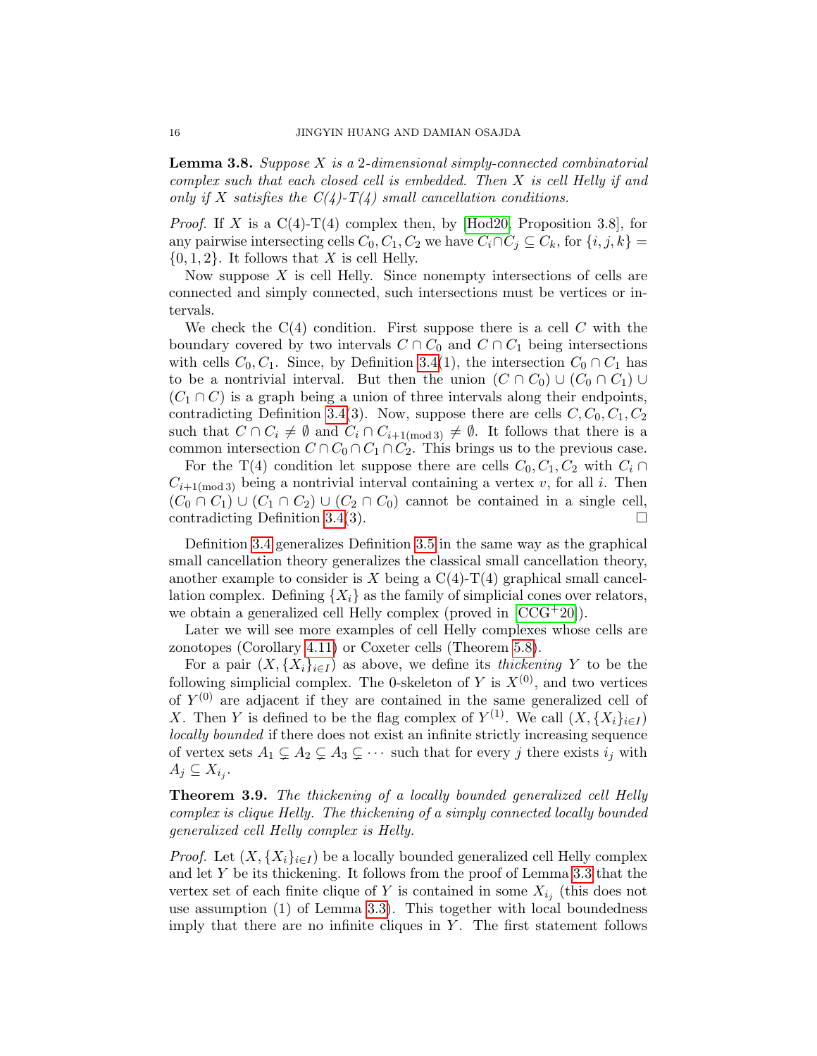<span id="page-15-0"></span>Lemma 3.8. Suppose X is a 2-dimensional simply-connected combinatorial complex such that each closed cell is embedded. Then X is cell Helly if and only if X satisfies the  $C(4)$ -T(4) small cancellation conditions.

*Proof.* If X is a  $C(4)$ -T(4) complex then, by [\[Hod20,](#page-27-11) Proposition 3.8], for any pairwise intersecting cells  $C_0, C_1, C_2$  we have  $C_i \cap C_j \subseteq C_k$ , for  $\{i, j, k\} =$  $\{0, 1, 2\}$ . It follows that X is cell Helly.

Now suppose  $X$  is cell Helly. Since nonempty intersections of cells are connected and simply connected, such intersections must be vertices or intervals.

We check the  $C(4)$  condition. First suppose there is a cell  $C$  with the boundary covered by two intervals  $C \cap C_0$  and  $C \cap C_1$  being intersections with cells  $C_0, C_1$ . Since, by Definition [3.4\(](#page-14-2)1), the intersection  $C_0 \cap C_1$  has to be a nontrivial interval. But then the union  $(C \cap C_0) \cup (C_0 \cap C_1) \cup$  $(C_1 \cap C)$  is a graph being a union of three intervals along their endpoints, contradicting Definition [3.4\(](#page-14-2)3). Now, suppose there are cells  $C, C_0, C_1, C_2$ such that  $C \cap C_i \neq \emptyset$  and  $C_i \cap C_{i+1 \pmod{3}} \neq \emptyset$ . It follows that there is a common intersection  $C \cap C_0 \cap C_1 \cap C_2$ . This brings us to the previous case.

For the T(4) condition let suppose there are cells  $C_0, C_1, C_2$  with  $C_i \cap$  $C_{i+1 \text{ (mod 3)}}$  being a nontrivial interval containing a vertex v, for all i. Then  $(C_0 \cap C_1) \cup (C_1 \cap C_2) \cup (C_2 \cap C_0)$  cannot be contained in a single cell, contradicting Definition [3.4\(](#page-14-2)3).  $\Box$ 

Definition [3.4](#page-14-2) generalizes Definition [3.5](#page-14-0) in the same way as the graphical small cancellation theory generalizes the classical small cancellation theory, another example to consider is X being a  $C(4)-T(4)$  graphical small cancellation complex. Defining  $\{X_i\}$  as the family of simplicial cones over relators, we obtain a generalized cell Helly complex (proved in [\[CCG](#page-26-1)+20]).

Later we will see more examples of cell Helly complexes whose cells are zonotopes (Corollary [4.11\)](#page-21-0) or Coxeter cells (Theorem [5.8\)](#page-25-6).

For a pair  $(X, \{X_i\}_{i\in I})$  as above, we define its *thickening* Y to be the following simplicial complex. The 0-skeleton of Y is  $X^{(0)}$ , and two vertices of  $Y^{(0)}$  are adjacent if they are contained in the same generalized cell of X. Then Y is defined to be the flag complex of  $Y^{(1)}$ . We call  $(X, \{X_i\}_{i\in I})$ locally bounded if there does not exist an infinite strictly increasing sequence of vertex sets  $A_1 \subsetneq A_2 \subsetneq A_3 \subsetneq \cdots$  such that for every j there exists  $i_j$  with  $A_j \subseteq X_{i_j}$ .

<span id="page-15-1"></span>Theorem 3.9. The thickening of a locally bounded generalized cell Helly complex is clique Helly. The thickening of a simply connected locally bounded generalized cell Helly complex is Helly.

*Proof.* Let  $(X, \{X_i\}_{i\in I})$  be a locally bounded generalized cell Helly complex and let  $Y$  be its thickening. It follows from the proof of Lemma [3.3](#page-13-2) that the vertex set of each finite clique of Y is contained in some  $X_{i_j}$  (this does not use assumption (1) of Lemma [3.3\)](#page-13-2). This together with local boundedness imply that there are no infinite cliques in  $Y$ . The first statement follows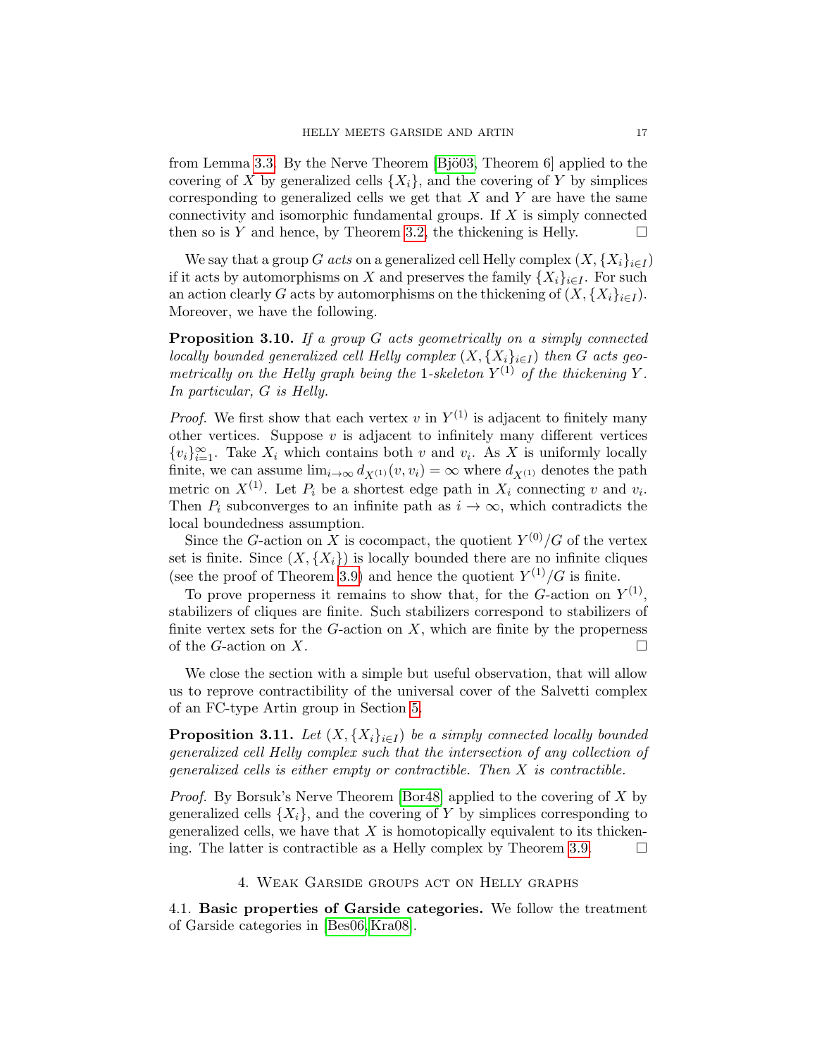from Lemma [3.3.](#page-13-2) By the Nerve Theorem [B] $\ddot{\text{o}}$ ] applied to the covering of X by generalized cells  $\{X_i\}$ , and the covering of Y by simplices corresponding to generalized cells we get that  $X$  and  $Y$  are have the same connectivity and isomorphic fundamental groups. If X is simply connected then so is Y and hence, by Theorem [3.2,](#page-13-1) the thickening is Helly.  $\square$ 

We say that a group G acts on a generalized cell Helly complex  $(X, \{X_i\}_{i\in I})$ if it acts by automorphisms on X and preserves the family  $\{X_i\}_{i\in I}$ . For such an action clearly G acts by automorphisms on the thickening of  $(X, \{X_i\}_{i\in I})$ . Moreover, we have the following.

<span id="page-16-2"></span>Proposition 3.10. If a group G acts geometrically on a simply connected locally bounded generalized cell Helly complex  $(X, \{X_i\}_{i\in I})$  then G acts geometrically on the Helly graph being the 1-skeleton  $Y^{(1)}$  of the thickening Y. In particular, G is Helly.

*Proof.* We first show that each vertex v in  $Y^{(1)}$  is adjacent to finitely many other vertices. Suppose  $v$  is adjacent to infinitely many different vertices  ${v_i}_{i=1}^{\infty}$ . Take  $X_i$  which contains both v and  $v_i$ . As X is uniformly locally finite, we can assume  $\lim_{i\to\infty} d_{X^{(1)}}(v, v_i) = \infty$  where  $d_{X^{(1)}}$  denotes the path metric on  $X^{(1)}$ . Let  $P_i$  be a shortest edge path in  $X_i$  connecting v and  $v_i$ . Then  $P_i$  subconverges to an infinite path as  $i \to \infty$ , which contradicts the local boundedness assumption.

Since the G-action on X is cocompact, the quotient  $Y^{(0)}/G$  of the vertex set is finite. Since  $(X, \{X_i\})$  is locally bounded there are no infinite cliques (see the proof of Theorem [3.9\)](#page-15-1) and hence the quotient  $Y^{(1)}/G$  is finite.

To prove properness it remains to show that, for the  $G$ -action on  $Y^{(1)}$ , stabilizers of cliques are finite. Such stabilizers correspond to stabilizers of finite vertex sets for the  $G$ -action on  $X$ , which are finite by the properness of the G-action on X.

We close the section with a simple but useful observation, that will allow us to reprove contractibility of the universal cover of the Salvetti complex of an FC-type Artin group in Section [5.](#page-22-0)

<span id="page-16-3"></span>**Proposition 3.11.** Let  $(X, \{X_i\}_{i\in I})$  be a simply connected locally bounded generalized cell Helly complex such that the intersection of any collection of generalized cells is either empty or contractible. Then X is contractible.

Proof. By Borsuk's Nerve Theorem [\[Bor48\]](#page-26-20) applied to the covering of X by generalized cells  $\{X_i\}$ , and the covering of Y by simplices corresponding to generalized cells, we have that  $X$  is homotopically equivalent to its thicken-ing. The latter is contractible as a Helly complex by Theorem [3.9.](#page-15-1)  $\Box$ 

#### 4. Weak Garside groups act on Helly graphs

<span id="page-16-1"></span><span id="page-16-0"></span>4.1. Basic properties of Garside categories. We follow the treatment of Garside categories in [\[Bes06,](#page-25-13) [Kra08\]](#page-28-20).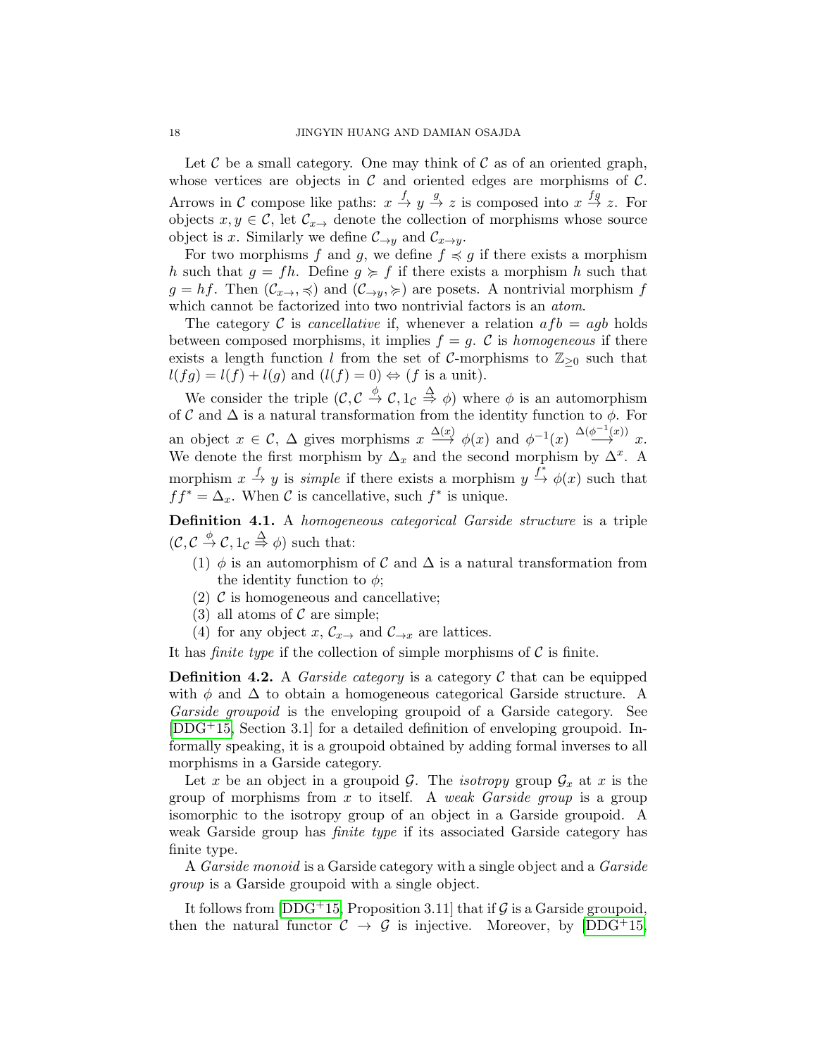Let  $\mathcal C$  be a small category. One may think of  $\mathcal C$  as of an oriented graph, whose vertices are objects in  $\mathcal C$  and oriented edges are morphisms of  $\mathcal C$ . Arrows in C compose like paths:  $x \stackrel{f}{\to} y \stackrel{g}{\to} z$  is composed into  $x \stackrel{fg}{\to} z$ . For objects  $x, y \in \mathcal{C}$ , let  $\mathcal{C}_{x\to y}$  denote the collection of morphisms whose source object is x. Similarly we define  $\mathcal{C}_{\rightarrow y}$  and  $\mathcal{C}_{x \rightarrow y}$ .

For two morphisms f and g, we define  $f \preccurlyeq g$  if there exists a morphism h such that  $g = fh$ . Define  $g \geq f$  if there exists a morphism h such that  $g = hf$ . Then  $(\mathcal{C}_{x\to}, \preccurlyeq)$  and  $(\mathcal{C}_{\to y}, \succeq)$  are posets. A nontrivial morphism f which cannot be factorized into two nontrivial factors is an *atom*.

The category C is *cancellative* if, whenever a relation  $afb = agb$  holds between composed morphisms, it implies  $f = g$ . C is homogeneous if there exists a length function l from the set of C-morphisms to  $\mathbb{Z}_{\geq 0}$  such that  $l(fg) = l(f) + l(g)$  and  $(l(f) = 0) \Leftrightarrow (f \text{ is a unit}).$ 

We consider the triple  $(C, C \stackrel{\phi}{\to} C, 1_C \stackrel{\Delta}{\to} \phi)$  where  $\phi$  is an automorphism of C and  $\Delta$  is a natural transformation from the identity function to  $\phi$ . For an object  $x \in \mathcal{C}$ ,  $\Delta$  gives morphisms  $x \stackrel{\Delta(x)}{\longrightarrow} \phi(x)$  and  $\phi^{-1}(x) \stackrel{\Delta(\phi^{-1}(x))}{\longrightarrow} x$ . We denote the first morphism by  $\Delta_x$  and the second morphism by  $\Delta^x$ . A morphism  $x \stackrel{f}{\to} y$  is *simple* if there exists a morphism  $y \stackrel{f^*}{\to} \phi(x)$  such that  $ff^* = \Delta_x$ . When C is cancellative, such  $f^*$  is unique.

<span id="page-17-0"></span>Definition 4.1. A homogeneous categorical Garside structure is a triple  $(\mathcal{C}, \mathcal{C} \stackrel{\phi}{\to} \mathcal{C}, 1_{\mathcal{C}} \stackrel{\Delta}{\Rightarrow} \phi)$  such that:

- (1)  $\phi$  is an automorphism of C and  $\Delta$  is a natural transformation from the identity function to  $\phi$ ;
- (2)  $\mathcal{C}$  is homogeneous and cancellative;
- (3) all atoms of  $\mathcal C$  are simple;
- (4) for any object x,  $\mathcal{C}_{x\rightarrow}$  and  $\mathcal{C}_{\rightarrow x}$  are lattices.

It has *finite type* if the collection of simple morphisms of  $C$  is finite.

**Definition 4.2.** A *Garside category* is a category  $\mathcal C$  that can be equipped with  $\phi$  and  $\Delta$  to obtain a homogeneous categorical Garside structure. A Garside groupoid is the enveloping groupoid of a Garside category. See [\[DDG](#page-27-20)+15, Section 3.1] for a detailed definition of enveloping groupoid. Informally speaking, it is a groupoid obtained by adding formal inverses to all morphisms in a Garside category.

Let x be an object in a groupoid G. The *isotropy* group  $\mathcal{G}_x$  at x is the group of morphisms from x to itself. A weak Garside group is a group isomorphic to the isotropy group of an object in a Garside groupoid. A weak Garside group has finite type if its associated Garside category has finite type.

A *Garside monoid* is a Garside category with a single object and a *Garside* group is a Garside groupoid with a single object.

It follows from  $[DDG^+15,$  Proposition 3.11] that if  $\mathcal G$  is a Garside groupoid, then the natural functor  $C \rightarrow \mathcal{G}$  is injective. Moreover, by  $[DDG^+15,$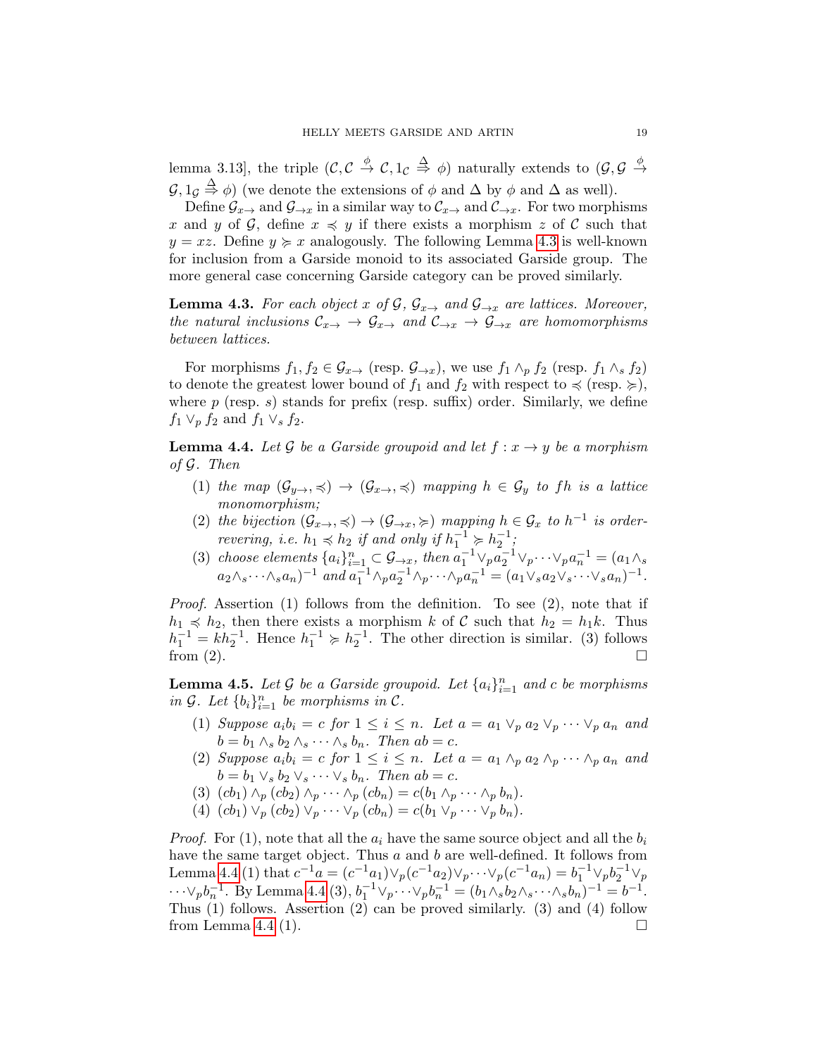lemma 3.13], the triple  $(C, C \stackrel{\phi}{\to} C, 1_C \stackrel{\Delta}{\to} \phi)$  naturally extends to  $(\mathcal{G}, \mathcal{G} \stackrel{\phi}{\to} \phi)$  $\mathcal{G}, 1_{\mathcal{G}} \stackrel{\Delta}{\Rightarrow} \phi$ ) (we denote the extensions of  $\phi$  and  $\Delta$  by  $\phi$  and  $\Delta$  as well).

Define  $\mathcal{G}_{x\to x}$  and  $\mathcal{G}_{\to x}$  in a similar way to  $\mathcal{C}_{x\to x}$  and  $\mathcal{C}_{\to x}$ . For two morphisms x and y of G, define  $x \preccurlyeq y$  if there exists a morphism z of C such that  $y = xz$ . Define  $y \geq x$  analogously. The following Lemma [4.3](#page-18-0) is well-known for inclusion from a Garside monoid to its associated Garside group. The more general case concerning Garside category can be proved similarly.

<span id="page-18-0"></span>**Lemma 4.3.** For each object x of G,  $\mathcal{G}_{x\to y}$  and  $\mathcal{G}_{\to x}$  are lattices. Moreover, the natural inclusions  $\mathcal{C}_{x\to} \to \mathcal{G}_{x\to}$  and  $\mathcal{C}_{\to x} \to \mathcal{G}_{\to x}$  are homomorphisms between lattices.

For morphisms  $f_1, f_2 \in \mathcal{G}_{x\to \infty}$  (resp.  $\mathcal{G}_{\to x}$ ), we use  $f_1 \wedge_p f_2$  (resp.  $f_1 \wedge_s f_2$ ) to denote the greatest lower bound of  $f_1$  and  $f_2$  with respect to  $\preccurlyeq$  (resp.  $\succcurlyeq$ ), where  $p$  (resp. s) stands for prefix (resp. suffix) order. Similarly, we define  $f_1 \vee_p f_2$  and  $f_1 \vee_s f_2$ .

<span id="page-18-1"></span>**Lemma 4.4.** Let G be a Garside groupoid and let  $f: x \rightarrow y$  be a morphism of G. Then

- (1) the map  $(\mathcal{G}_{y\to}, \preccurlyeq) \to (\mathcal{G}_{x\to}, \preccurlyeq)$  mapping  $h \in \mathcal{G}_y$  to fh is a lattice monomorphism;
- (2) the bijection  $(\mathcal{G}_{x\to}, \preccurlyeq) \to (\mathcal{G}_{\to x}, \succcurlyeq)$  mapping  $h \in \mathcal{G}_x$  to  $h^{-1}$  is orderrevering, i.e.  $h_1 \preccurlyeq h_2$  if and only if  $h_1^{-1} \succcurlyeq h_2^{-1}$ ;
- (3) choose elements  $\{a_i\}_{i=1}^n \subset \mathcal{G}_{\rightarrow x}$ , then  $a_1^{-1} \vee_p a_2^{-1} \vee_p \cdots \vee_p a_n^{-1} = (a_1 \wedge_s)$  $a_2 \wedge_s \cdots \wedge_s a_n$ )<sup>-1</sup> and  $a_1^{-1} \wedge_p a_2^{-1} \wedge_p \cdots \wedge_p a_n^{-1} = (a_1 \vee_s a_2 \vee_s \cdots \vee_s a_n)^{-1}$ .

Proof. Assertion (1) follows from the definition. To see (2), note that if  $h_1 \preccurlyeq h_2$ , then there exists a morphism k of C such that  $h_2 = h_1 k$ . Thus  $h_1^{-1} = kh_2^{-1}$ . Hence  $h_1^{-1} \geq h_2^{-1}$ . The other direction is similar. (3) follows from (2).  $\Box$ 

<span id="page-18-2"></span>**Lemma 4.5.** Let G be a Garside groupoid. Let  $\{a_i\}_{i=1}^n$  and c be morphisms in  $G$ . Let  $\{b_i\}_{i=1}^n$  be morphisms in  $C$ .

- (1) Suppose  $a_i b_i = c$  for  $1 \leq i \leq n$ . Let  $a = a_1 \vee_p a_2 \vee_p \cdots \vee_p a_n$  and  $b = b_1 \wedge_s b_2 \wedge_s \cdots \wedge_s b_n$ . Then  $ab = c$ .
- (2) Suppose  $a_i b_i = c$  for  $1 \leq i \leq n$ . Let  $a = a_1 \wedge_p a_2 \wedge_p \cdots \wedge_p a_n$  and  $b = b_1 \vee_s b_2 \vee_s \cdots \vee_s b_n$ . Then  $ab = c$ .
- (3)  $(cb_1) \wedge_p (cb_2) \wedge_p \cdots \wedge_p (cb_n) = c(b_1 \wedge_p \cdots \wedge_p b_n).$
- (4)  $(cb_1) \vee_p (cb_2) \vee_p \cdots \vee_p (cb_n) = c(b_1 \vee_p \cdots \vee_p b_n).$

*Proof.* For (1), note that all the  $a_i$  have the same source object and all the  $b_i$ have the same target object. Thus  $a$  and  $b$  are well-defined. It follows from Lemma [4.4](#page-18-1) (1) that  $c^{-1}a = (c^{-1}a_1) \vee_p (c^{-1}a_2) \vee_p \cdots \vee_p (c^{-1}a_n) = b_1^{-1} \vee_p b_2^{-1} \vee_p$  $\cdots \vee_p b_n^{-1}$ . By Lemma [4.4](#page-18-1) (3),  $b_1^{-1} \vee_p \cdots \vee_p b_n^{-1} = (b_1 \wedge_s b_2 \wedge_s \cdots \wedge_s b_n)^{-1} = b^{-1}$ . Thus (1) follows. Assertion (2) can be proved similarly. (3) and (4) follow from Lemma [4.4](#page-18-1) (1).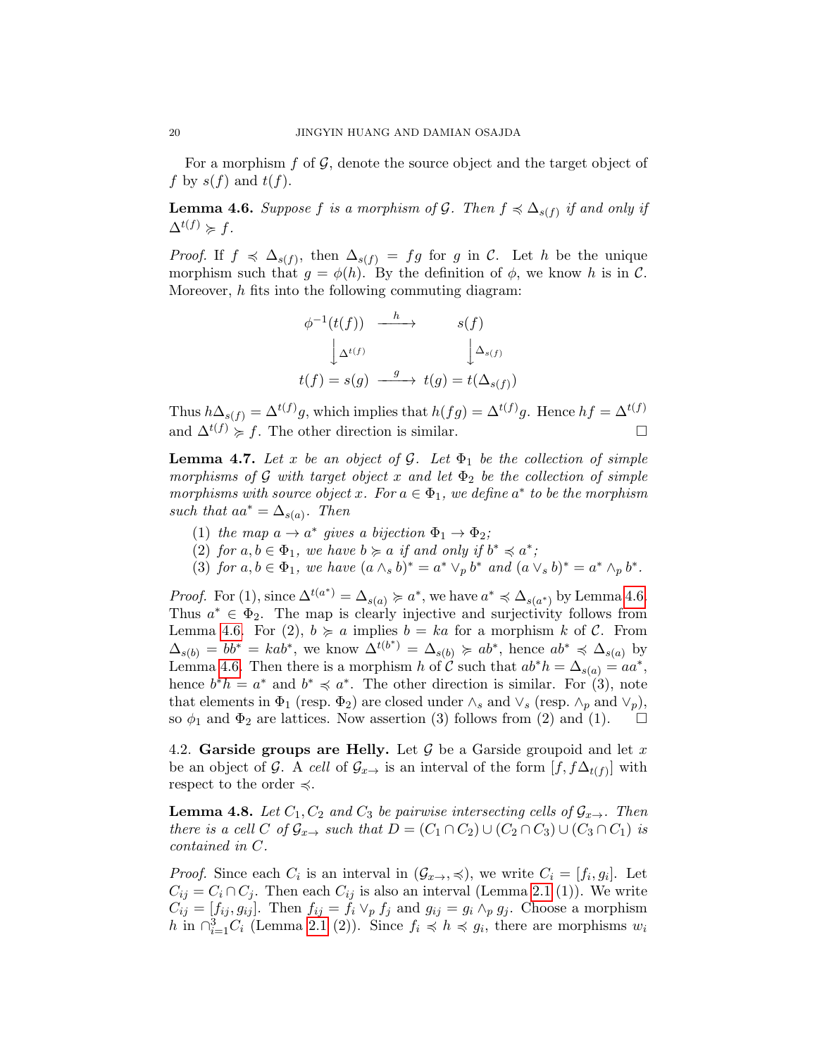For a morphism  $f$  of  $\mathcal{G}$ , denote the source object and the target object of f by  $s(f)$  and  $t(f)$ .

<span id="page-19-1"></span>**Lemma 4.6.** Suppose f is a morphism of G. Then  $f \preccurlyeq \Delta_{s(f)}$  if and only if  $\Delta^{t(f)} \succcurlyeq f.$ 

*Proof.* If  $f \preceq \Delta_{s(f)}$ , then  $\Delta_{s(f)} = fg$  for g in C. Let h be the unique morphism such that  $q = \phi(h)$ . By the definition of  $\phi$ , we know h is in C. Moreover, h fits into the following commuting diagram:

$$
\phi^{-1}(t(f)) \xrightarrow{h} s(f)
$$
  

$$
\downarrow \Delta^{t(f)} \qquad \qquad \downarrow \Delta_{s(f)}
$$
  

$$
t(f) = s(g) \xrightarrow{g} t(g) = t(\Delta_{s(f)})
$$

Thus  $h\Delta_{s(f)} = \Delta^{t(f)}g$ , which implies that  $h(fg) = \Delta^{t(f)}g$ . Hence  $hf = \Delta^{t(f)}g$ and  $\Delta^{t(f)} \geq f$ . The other direction is similar.

<span id="page-19-2"></span>**Lemma 4.7.** Let x be an object of G. Let  $\Phi_1$  be the collection of simple morphisms of G with target object x and let  $\Phi_2$  be the collection of simple morphisms with source object x. For  $a \in \Phi_1$ , we define  $a^*$  to be the morphism such that  $aa^* = \Delta_{s(a)}$ . Then

- (1) the map  $a \to a^*$  gives a bijection  $\Phi_1 \to \Phi_2$ ;
- (2) for  $a, b \in \Phi_1$ , we have  $b \succ a$  if and only if  $b^* \preccurlyeq a^*$ ;
- (3) for  $a, b \in \Phi_1$ , we have  $(a \wedge_s b)^* = a^* \vee_p b^*$  and  $(a \vee_s b)^* = a^* \wedge_p b^*$ .

*Proof.* For (1), since  $\Delta^{t(a^*)} = \Delta_{s(a)} \succcurlyeq a^*$ , we have  $a^* \preccurlyeq \Delta_{s(a^*)}$  by Lemma [4.6.](#page-19-1) Thus  $a^* \in \Phi_2$ . The map is clearly injective and surjectivity follows from Lemma [4.6.](#page-19-1) For (2),  $b \ge a$  implies  $b = ka$  for a morphism k of C. From  $\Delta_{s(b)} = bb^* = kab^*,$  we know  $\Delta^{t(b^*)} = \Delta_{s(b)} \succcurlyeq ab^*,$  hence  $ab^* \preccurlyeq \Delta_{s(a)}$  by Lemma [4.6.](#page-19-1) Then there is a morphism h of  $\check{\mathcal{C}}$  such that  $ab^*h = \Delta_{s(a)} = aa^*$ , hence  $b^*h = a^*$  and  $b^* \preccurlyeq a^*$ . The other direction is similar. For (3), note that elements in  $\Phi_1$  (resp.  $\Phi_2$ ) are closed under  $\wedge_s$  and  $\vee_s$  (resp.  $\wedge_p$  and  $\vee_p$ ), so  $\phi_1$  and  $\Phi_2$  are lattices. Now assertion (3) follows from (2) and (1).  $\Box$ 

<span id="page-19-0"></span>4.2. Garside groups are Helly. Let  $\mathcal G$  be a Garside groupoid and let x be an object of G. A cell of  $\mathcal{G}_{x\to y}$  is an interval of the form  $[f, f\Delta_{t(f)}]$  with respect to the order  $\preccurlyeq$ .

<span id="page-19-3"></span>**Lemma 4.8.** Let  $C_1$ ,  $C_2$  and  $C_3$  be pairwise intersecting cells of  $\mathcal{G}_{x\rightarrow}$ . Then there is a cell C of  $\mathcal{G}_{x\to y}$  such that  $D = (C_1 \cap C_2) \cup (C_2 \cap C_3) \cup (C_3 \cap C_1)$  is contained in C.

*Proof.* Since each  $C_i$  is an interval in  $(\mathcal{G}_{x\to}, \preccurlyeq)$ , we write  $C_i = [f_i, g_i]$ . Let  $C_{ij} = C_i \cap C_j$ . Then each  $C_{ij}$  is also an interval (Lemma [2.1](#page-7-3) (1)). We write  $C_{ij} = [f_{ij}, g_{ij}]$ . Then  $f_{ij} = f_i \vee_p f_j$  and  $g_{ij} = g_i \wedge_p g_j$ . Choose a morphism h in  $\bigcap_{i=1}^{3} C_i$  (Lemma [2.1](#page-7-3) (2)). Since  $f_i \preccurlyeq h \preccurlyeq g_i$ , there are morphisms  $w_i$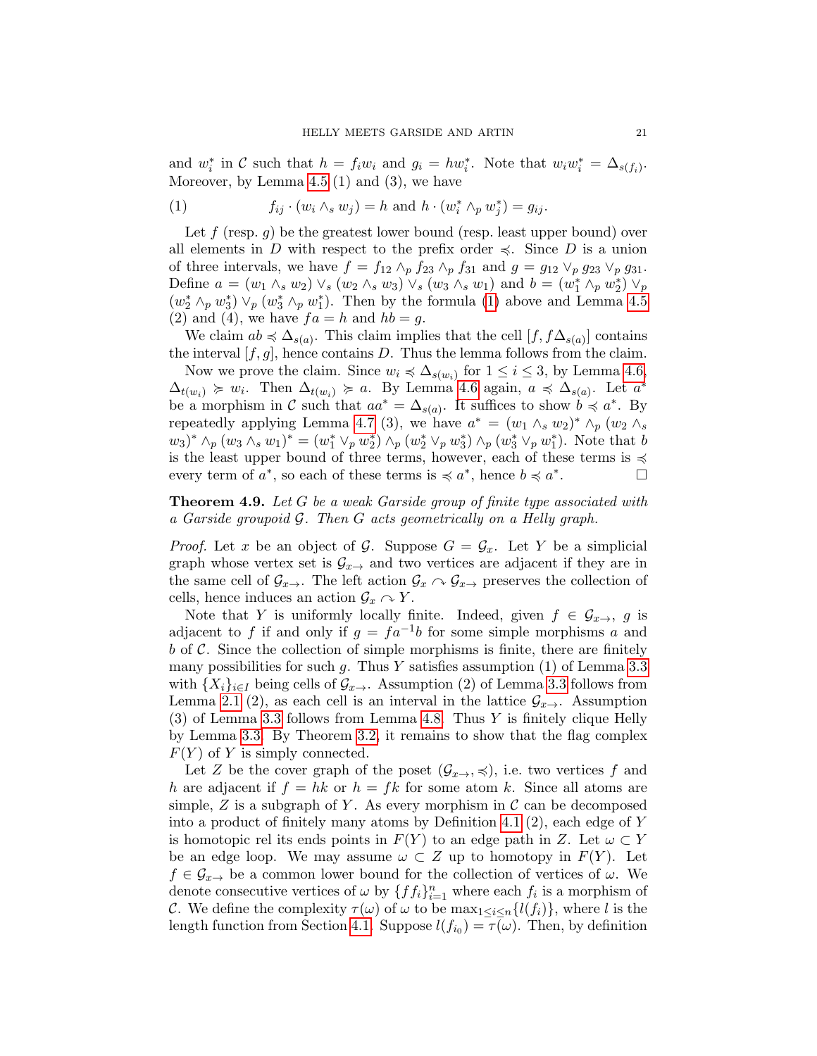and  $w_i^*$  in C such that  $h = f_i w_i$  and  $g_i = hw_i^*$ . Note that  $w_i w_i^* = \Delta_{s(f_i)}$ . Moreover, by Lemma  $4.5$  (1) and (3), we have

<span id="page-20-0"></span>(1) 
$$
f_{ij} \cdot (w_i \wedge_s w_j) = h \text{ and } h \cdot (w_i^* \wedge_p w_j^*) = g_{ij}.
$$

Let  $f$  (resp.  $g$ ) be the greatest lower bound (resp. least upper bound) over all elements in D with respect to the prefix order  $\preccurlyeq$ . Since D is a union of three intervals, we have  $f = f_{12} \wedge_p f_{23} \wedge_p f_{31}$  and  $g = g_{12} \vee_p g_{23} \vee_p g_{31}$ . Define  $a = (w_1 \wedge_s w_2) \vee_s (w_2 \wedge_s w_3) \vee_s (w_3 \wedge_s w_1)$  and  $b = (w_1^* \wedge_p w_2^*) \vee_p$  $(w_2^* \wedge_p w_3^*) \vee_p (w_3^* \wedge_p w_1^*)$ . Then by the formula [\(1\)](#page-20-0) above and Lemma [4.5](#page-18-2) (2) and (4), we have  $fa = h$  and  $hb = g$ .

We claim  $ab \preccurlyeq \Delta_{s(a)}$ . This claim implies that the cell  $[f, f\Delta_{s(a)}]$  contains the interval  $[f, g]$ , hence contains D. Thus the lemma follows from the claim.

Now we prove the claim. Since  $w_i \preccurlyeq \Delta_{s(w_i)}$  for  $1 \leq i \leq 3$ , by Lemma [4.6,](#page-19-1)  $\Delta_{t(w_i)} \geq w_i$ . Then  $\Delta_{t(w_i)} \geq a$ . By Lemma [4.6](#page-19-1) again,  $a \preccurlyeq \Delta_{s(a)}$ . Let  $a^*$ be a morphism in C such that  $aa^* = \Delta_{s(a)}$ . It suffices to show  $b \preccurlyeq a^*$ . By repeatedly applying Lemma [4.7](#page-19-2) (3), we have  $a^* = (w_1 \wedge_s w_2)^* \wedge_p (w_2 \wedge_s$  $(w_3)^* \wedge_p (w_3 \wedge_s w_1)^* = (w_1^* \vee_p w_2^*) \wedge_p (w_2^* \vee_p w_3^*) \wedge_p (w_3^* \vee_p w_1^*)$ . Note that b is the least upper bound of three terms, however, each of these terms is  $\preccurlyeq$ every term of  $a^*$ , so each of these terms is  $\preccurlyeq a^*$ , hence  $b \preccurlyeq a^*$ . — П

<span id="page-20-1"></span>Theorem 4.9. Let G be a weak Garside group of finite type associated with a Garside groupoid G. Then G acts geometrically on a Helly graph.

*Proof.* Let x be an object of G. Suppose  $G = \mathcal{G}_x$ . Let Y be a simplicial graph whose vertex set is  $\mathcal{G}_{x\rightarrow}$  and two vertices are adjacent if they are in the same cell of  $\mathcal{G}_{x\to}$ . The left action  $\mathcal{G}_x \cap \mathcal{G}_{x\to}$  preserves the collection of cells, hence induces an action  $\mathcal{G}_x \cap Y$ .

Note that Y is uniformly locally finite. Indeed, given  $f \in \mathcal{G}_{x\to y}$  is adjacent to f if and only if  $g = fa^{-1}b$  for some simple morphisms a and  $b$  of C. Since the collection of simple morphisms is finite, there are finitely many possibilities for such  $g$ . Thus Y satisfies assumption (1) of Lemma [3.3](#page-13-2) with  $\{X_i\}_{i\in I}$  being cells of  $\mathcal{G}_{x\to\cdot}$ . Assumption (2) of Lemma [3.3](#page-13-2) follows from Lemma [2.1](#page-7-3) (2), as each cell is an interval in the lattice  $\mathcal{G}_{x\rightarrow}$ . Assumption (3) of Lemma [3.3](#page-13-2) follows from Lemma [4.8.](#page-19-3) Thus Y is finitely clique Helly by Lemma [3.3.](#page-13-2) By Theorem [3.2,](#page-13-1) it remains to show that the flag complex  $F(Y)$  of Y is simply connected.

Let Z be the cover graph of the poset  $(\mathcal{G}_{x\to}, \preccurlyeq)$ , i.e. two vertices f and h are adjacent if  $f = hk$  or  $h = fk$  for some atom k. Since all atoms are simple,  $Z$  is a subgraph of  $Y$ . As every morphism in  $\mathcal C$  can be decomposed into a product of finitely many atoms by Definition [4.1](#page-17-0)  $(2)$ , each edge of Y is homotopic rel its ends points in  $F(Y)$  to an edge path in Z. Let  $\omega \subset Y$ be an edge loop. We may assume  $\omega \subset Z$  up to homotopy in  $F(Y)$ . Let  $f \in \mathcal{G}_{x\to y}$  be a common lower bound for the collection of vertices of  $\omega$ . We denote consecutive vertices of  $\omega$  by  $\{f_i\}_{i=1}^n$  where each  $f_i$  is a morphism of C. We define the complexity  $\tau(\omega)$  of  $\omega$  to be  $\max_{1 \leq i \leq n} \{l(f_i)\}\)$ , where l is the length function from Section [4.1.](#page-16-1) Suppose  $l(f_{i_0}) = \tau(\omega)$ . Then, by definition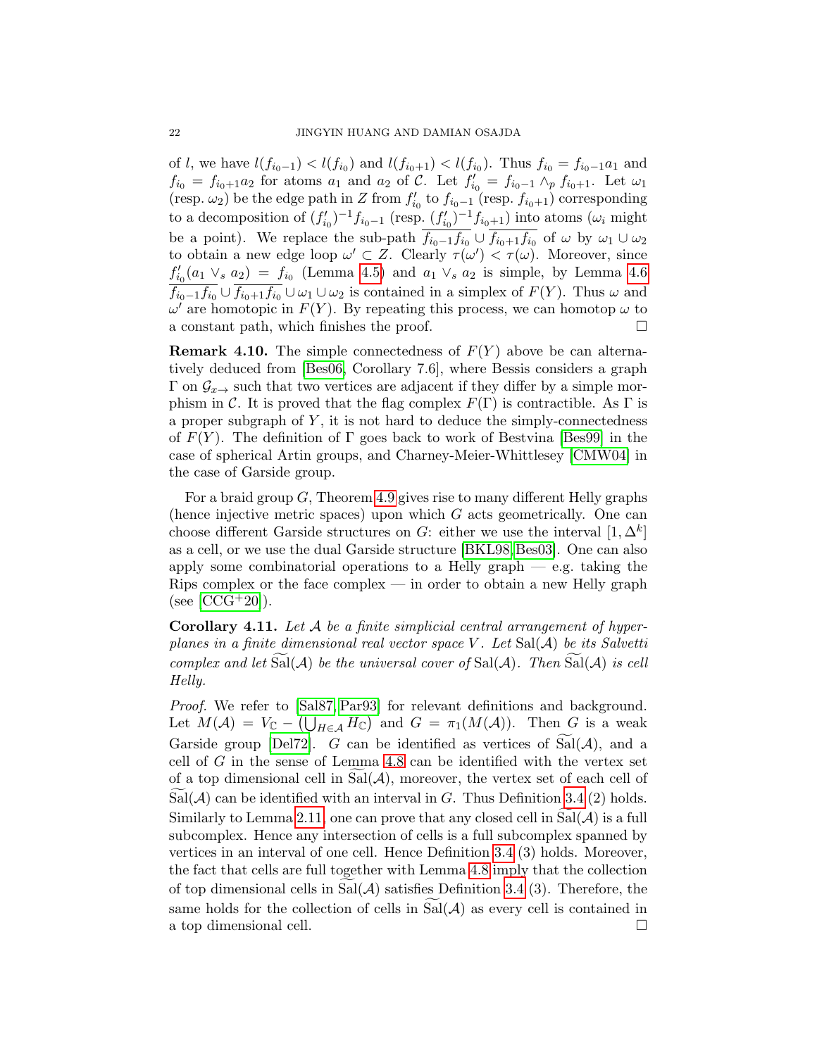of l, we have  $l(f_{i_0-1}) < l(f_{i_0})$  and  $l(f_{i_0+1}) < l(f_{i_0})$ . Thus  $f_{i_0} = f_{i_0-1}a_1$  and  $f_{i_0} = f_{i_0+1}a_2$  for atoms  $a_1$  and  $a_2$  of C. Let  $f'_{i_0} = f_{i_0-1} \wedge_p f_{i_0+1}$ . Let  $\omega_1$ (resp.  $\omega_2$ ) be the edge path in Z from  $f'_{i_0}$  to  $f_{i_0-1}$  (resp.  $f_{i_0+1}$ ) corresponding to a decomposition of  $(f'_{i_0})^{-1}f_{i_0-1}$  (resp.  $(f'_{i_0})^{-1}f_{i_0+1}$ ) into atoms  $(\omega_i$  might be a point). We replace the sub-path  $f_{i_0-1}f_{i_0} \cup f_{i_0+1}f_{i_0}$  of  $\omega$  by  $\omega_1 \cup \omega_2$ to obtain a new edge loop  $\omega' \subset Z$ . Clearly  $\tau(\omega') < \tau(\omega)$ . Moreover, since  $f'_{i_0}(a_1 \vee_s a_2) = f_{i_0}$  (Lemma [4.5\)](#page-18-2) and  $a_1 \vee_s a_2$  is simple, by Lemma [4.6](#page-19-1)  $f_{i_0-1}f_{i_0}\cup f_{i_0+1}f_{i_0}\cup \omega_1\cup \omega_2$  is contained in a simplex of  $F(Y)$ . Thus  $\omega$  and  $\omega'$  are homotopic in  $F(Y)$ . By repeating this process, we can homotop  $\omega$  to a constant path, which finishes the proof.

**Remark 4.10.** The simple connectedness of  $F(Y)$  above be can alternatively deduced from [\[Bes06,](#page-25-13) Corollary 7.6], where Bessis considers a graph  $\Gamma$  on  $\mathcal{G}_{x\to}$  such that two vertices are adjacent if they differ by a simple morphism in C. It is proved that the flag complex  $F(\Gamma)$  is contractible. As  $\Gamma$  is a proper subgraph of  $Y$ , it is not hard to deduce the simply-connectedness of  $F(Y)$ . The definition of Γ goes back to work of Bestvina [\[Bes99\]](#page-26-12) in the case of spherical Artin groups, and Charney-Meier-Whittlesey [\[CMW04\]](#page-27-21) in the case of Garside group.

For a braid group  $G$ , Theorem [4.9](#page-20-1) gives rise to many different Helly graphs (hence injective metric spaces) upon which G acts geometrically. One can choose different Garside structures on G: either we use the interval  $[1, \Delta^k]$ as a cell, or we use the dual Garside structure [\[BKL98,](#page-26-21) [Bes03\]](#page-25-14). One can also apply some combinatorial operations to a Helly graph  $-$  e.g. taking the Rips complex or the face complex — in order to obtain a new Helly graph  $(see [CCG+20]).$  $(see [CCG+20]).$  $(see [CCG+20]).$ 

<span id="page-21-0"></span>**Corollary 4.11.** Let  $\mathcal A$  be a finite simplicial central arrangement of hyperplanes in a finite dimensional real vector space V. Let  $Sal(\mathcal{A})$  be its Salvetti complex and let  $Sal(A)$  be the universal cover of  $Sal(A)$ . Then  $Sal(A)$  is cell Helly.

Proof. We refer to [\[Sal87,](#page-28-21) [Par93\]](#page-28-22) for relevant definitions and background. Let  $M(\mathcal{A}) = V_{\mathbb{C}} - (\bigcup_{H \in \mathcal{A}} H_{\mathbb{C}})$  and  $G = \pi_1(M(\mathcal{A}))$ . Then G is a weak Garside group [\[Del72\]](#page-27-1). G can be identified as vertices of  $Sal(A)$ , and a cell of G in the sense of Lemma [4.8](#page-19-3) can be identified with the vertex set of a top dimensional cell in  $\text{Sal}(\mathcal{A})$ , moreover, the vertex set of each cell of  $Sal(\mathcal{A})$  can be identified with an interval in G. Thus Definition [3.4](#page-14-2) (2) holds. Similarly to Lemma [2.11,](#page-11-2) one can prove that any closed cell in  $Sal(\mathcal{A})$  is a full subcomplex. Hence any intersection of cells is a full subcomplex spanned by vertices in an interval of one cell. Hence Definition [3.4](#page-14-2) (3) holds. Moreover, the fact that cells are full together with Lemma [4.8](#page-19-3) imply that the collection of top dimensional cells in Sal $(\mathcal{A})$  satisfies Definition [3.4](#page-14-2) (3). Therefore, the same holds for the collection of cells in  $Sal(A)$  as every cell is contained in a top dimensional cell. a top dimensional cell.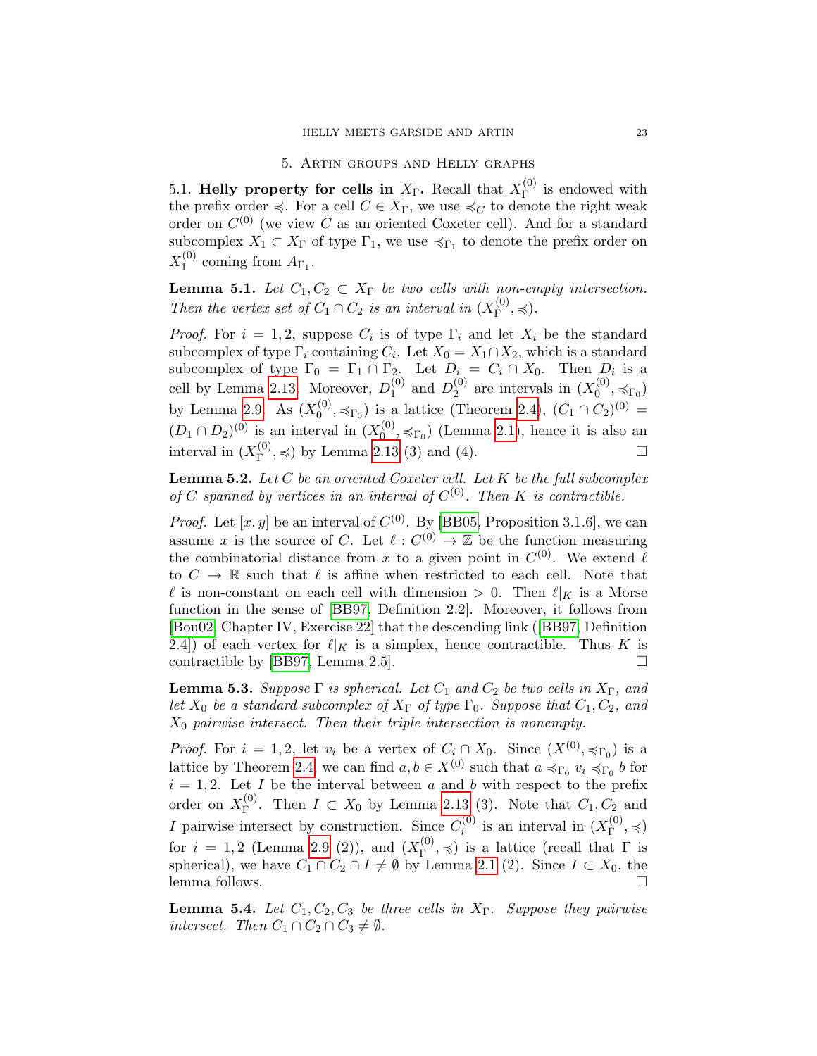#### 5. Artin groups and Helly graphs

<span id="page-22-1"></span><span id="page-22-0"></span>5.1. Helly property for cells in  $X_{\Gamma}$ . Recall that  $X_{\Gamma}^{(0)}$  $\Gamma^{(0)}$  is endowed with the prefix order  $\preccurlyeq$ . For a cell  $C \in X_{\Gamma}$ , we use  $\preccurlyeq_C$  to denote the right weak order on  $C^{(0)}$  (we view C as an oriented Coxeter cell). And for a standard subcomplex  $X_1 \subset X_{\Gamma}$  of type  $\Gamma_1$ , we use  $\preccurlyeq_{\Gamma_1}$  to denote the prefix order on  $X_1^{(0)}$  $1^{(0)}$  coming from  $A_{\Gamma_1}$ .

**Lemma 5.1.** Let  $C_1, C_2 \subset X_\Gamma$  be two cells with non-empty intersection. Then the vertex set of  $C_1 \cap C_2$  is an interval in  $(X_{\Gamma}^{(0)})$  $_{\Gamma}^{(0)}, \preccurlyeq$ ).

*Proof.* For  $i = 1, 2$ , suppose  $C_i$  is of type  $\Gamma_i$  and let  $X_i$  be the standard subcomplex of type  $\Gamma_i$  containing  $C_i$ . Let  $X_0 = X_1 \cap X_2$ , which is a standard subcomplex of type  $\Gamma_0 = \Gamma_1 \cap \Gamma_2$ . Let  $D_i = C_i \cap X_0$ . Then  $D_i$  is a cell by Lemma [2.13.](#page-12-2) Moreover,  $D_1^{(0)}$  $_1^{(0)}$  and  $D_2^{(0)}$  $_2^{(0)}$  are intervals in  $(X_0^{(0)}$  $\mathcal{O}_0^{(0)}, \preccurlyeq_{\Gamma_0})$ by Lemma [2.9.](#page-11-0) As  $(X_0^{(0)}$  $\binom{0}{0}, \preccurlyeq_{\Gamma_0}$  is a lattice (Theorem [2.4\)](#page-8-3),  $(C_1 \cap C_2)^{(0)} =$  $(D_1 \cap D_2)^{(0)}$  is an interval in  $(X_0^{(0)}$  $\mathcal{O}_0^{(0)}, \preccurlyeq_{\Gamma_0}$  (Lemma [2.1\)](#page-7-3), hence it is also an interval in  $(X_{\Gamma}^{(0)}$  $_{\Gamma}^{(0)}$ ,  $\preccurlyeq$ ) by Lemma [2.13](#page-12-2) (3) and (4).

<span id="page-22-4"></span>**Lemma 5.2.** Let  $C$  be an oriented Coxeter cell. Let  $K$  be the full subcomplex of C spanned by vertices in an interval of  $C^{(0)}$ . Then K is contractible.

*Proof.* Let [x, y] be an interval of  $C^{(0)}$ . By [\[BB05,](#page-25-11) Proposition 3.1.6], we can assume x is the source of C. Let  $\ell : C^{(0)} \to \mathbb{Z}$  be the function measuring the combinatorial distance from x to a given point in  $C^{(0)}$ . We extend  $\ell$ to  $C \to \mathbb{R}$  such that  $\ell$  is affine when restricted to each cell. Note that  $\ell$  is non-constant on each cell with dimension  $> 0$ . Then  $\ell|_K$  is a Morse function in the sense of [\[BB97,](#page-25-15) Definition 2.2]. Moreover, it follows from [\[Bou02,](#page-26-17) Chapter IV, Exercise 22] that the descending link([\[BB97,](#page-25-15) Definition 2.4) of each vertex for  $\ell|_K$  is a simplex, hence contractible. Thus K is contractible by [\[BB97,](#page-25-15) Lemma 2.5].  $\square$ 

<span id="page-22-2"></span>**Lemma 5.3.** Suppose  $\Gamma$  is spherical. Let  $C_1$  and  $C_2$  be two cells in  $X_{\Gamma}$ , and let  $X_0$  be a standard subcomplex of  $X_{\Gamma}$  of type  $\Gamma_0$ . Suppose that  $C_1, C_2$ , and  $X_0$  pairwise intersect. Then their triple intersection is nonempty.

*Proof.* For  $i = 1, 2$ , let  $v_i$  be a vertex of  $C_i \cap X_0$ . Since  $(X^{(0)}, \preccurlyeq_{\Gamma_0})$  is a lattice by Theorem [2.4,](#page-8-3) we can find  $a, b \in X^{(0)}$  such that  $a \preccurlyeq_{\Gamma_0} v_i \preccurlyeq_{\Gamma_0} b$  for  $i = 1, 2$ . Let I be the interval between a and b with respect to the prefix order on  $X_{\Gamma}^{(0)}$ <sup>(0)</sup>. Then  $I \subset X_0$  by Lemma [2.13](#page-12-2) (3). Note that  $C_1, C_2$  and I pairwise intersect by construction. Since  $C_i^{(0)}$  $i_i^{(0)}$  is an interval in  $(X_{\Gamma}^{(0)})$  $_{\Gamma}^{(0)}, \preccurlyeq)$ for  $i = 1, 2$  (Lemma [2.9](#page-11-0) (2)), and  $(X_{\Gamma}^{(0)})$  $\Gamma^{(0)}$ ,  $\preccurlyeq$ ) is a lattice (recall that  $\Gamma$  is spherical), we have  $C_1 \cap C_2 \cap I \neq \emptyset$  by Lemma [2.1](#page-7-3) (2). Since  $I \subset X_0$ , the lemma follows.

<span id="page-22-3"></span>**Lemma 5.4.** Let  $C_1, C_2, C_3$  be three cells in  $X_{\Gamma}$ . Suppose they pairwise intersect. Then  $C_1 \cap C_2 \cap C_3 \neq \emptyset$ .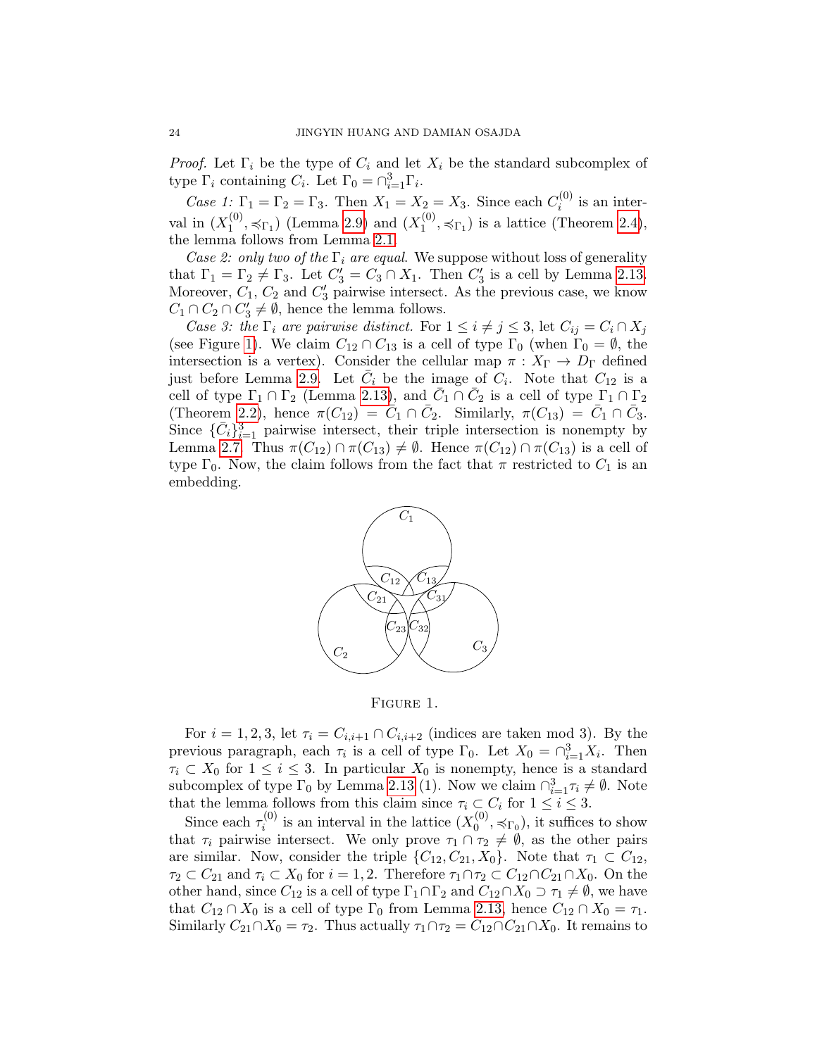*Proof.* Let  $\Gamma_i$  be the type of  $C_i$  and let  $X_i$  be the standard subcomplex of type  $\Gamma_i$  containing  $C_i$ . Let  $\Gamma_0 = \bigcap_{i=1}^3 \Gamma_i$ .

*Case 1*:  $\Gamma_1 = \Gamma_2 = \Gamma_3$ . Then  $X_1 = X_2 = X_3$ . Since each  $C_i^{(0)}$  $i^{(0)}$  is an interval in  $(X_1^{(0)}$  $1^{(0)}, \preccurlyeq_{\Gamma_1}$ ) (Lemma [2.9\)](#page-11-0) and  $(X_1^{(0)}$  $1^{(0)}$ ,  $\preccurlyeq_{\Gamma_1}$ ) is a lattice (Theorem [2.4\)](#page-8-3), the lemma follows from Lemma [2.1.](#page-7-3)

Case 2: only two of the  $\Gamma_i$  are equal. We suppose without loss of generality that  $\Gamma_1 = \Gamma_2 \neq \Gamma_3$ . Let  $C'_3 = C_3 \cap X_1$ . Then  $C'_3$  is a cell by Lemma [2.13.](#page-12-2) Moreover,  $C_1$ ,  $C_2$  and  $C'_3$  pairwise intersect. As the previous case, we know  $C_1 \cap C_2 \cap C'_3 \neq \emptyset$ , hence the lemma follows.

Case 3: the  $\Gamma_i$  are pairwise distinct. For  $1 \leq i \neq j \leq 3$ , let  $C_{ij} = C_i \cap X_j$ (see Figure [1\)](#page-23-0). We claim  $C_{12} \cap C_{13}$  is a cell of type  $\Gamma_0$  (when  $\Gamma_0 = \emptyset$ , the intersection is a vertex). Consider the cellular map  $\pi : X_{\Gamma} \to D_{\Gamma}$  defined just before Lemma [2.9.](#page-11-0) Let  $\bar{C}_i$  be the image of  $\bar{C}_i$ . Note that  $C_{12}$  is a cell of type  $\Gamma_1 \cap \Gamma_2$  (Lemma [2.13\)](#page-12-2), and  $\overline{C}_1 \cap \overline{C}_2$  is a cell of type  $\Gamma_1 \cap \Gamma_2$ (Theorem [2.2\)](#page-8-1), hence  $\pi(C_{12}) = \tilde{C}_1 \cap \bar{C}_2$ . Similarly,  $\pi(C_{13}) = \bar{C}_1 \cap \bar{C}_3$ . Since  $\{\bar{C}_i\}_{i=1}^3$  pairwise intersect, their triple intersection is nonempty by Lemma [2.7.](#page-9-1) Thus  $\pi(C_{12}) \cap \pi(C_{13}) \neq \emptyset$ . Hence  $\pi(C_{12}) \cap \pi(C_{13})$  is a cell of type  $\Gamma_0$ . Now, the claim follows from the fact that  $\pi$  restricted to  $C_1$  is an embedding.



<span id="page-23-0"></span>Figure 1.

For  $i = 1, 2, 3$ , let  $\tau_i = C_{i,i+1} \cap C_{i,i+2}$  (indices are taken mod 3). By the previous paragraph, each  $\tau_i$  is a cell of type  $\Gamma_0$ . Let  $X_0 = \bigcap_{i=1}^3 X_i$ . Then  $\tau_i \subset X_0$  for  $1 \leq i \leq 3$ . In particular  $X_0$  is nonempty, hence is a standard subcomplex of type  $\Gamma_0$  by Lemma [2.13](#page-12-2) (1). Now we claim  $\bigcap_{i=1}^3 \tau_i \neq \emptyset$ . Note that the lemma follows from this claim since  $\tau_i \subset C_i$  for  $1 \leq i \leq 3$ .

Since each  $\tau_i^{(0)}$  $i_i^{(0)}$  is an interval in the lattice  $(X_0^{(0)}$  $\mathcal{O}_0^{(0)}, \preccurlyeq_{\Gamma_0}$ , it suffices to show that  $\tau_i$  pairwise intersect. We only prove  $\tau_1 \cap \tau_2 \neq \emptyset$ , as the other pairs are similar. Now, consider the triple  $\{C_{12}, C_{21}, X_0\}$ . Note that  $\tau_1 \subset C_{12}$ ,  $\tau_2 \subset C_{21}$  and  $\tau_i \subset X_0$  for  $i = 1, 2$ . Therefore  $\tau_1 \cap \tau_2 \subset C_{12} \cap C_{21} \cap X_0$ . On the other hand, since  $C_{12}$  is a cell of type  $\Gamma_1 \cap \Gamma_2$  and  $C_{12} \cap X_0 \supset \tau_1 \neq \emptyset$ , we have that  $C_{12} \cap X_0$  is a cell of type  $\Gamma_0$  from Lemma [2.13,](#page-12-2) hence  $C_{12} \cap X_0 = \tau_1$ . Similarly  $C_{21} \cap X_0 = \tau_2$ . Thus actually  $\tau_1 \cap \tau_2 = C_{12} \cap C_{21} \cap X_0$ . It remains to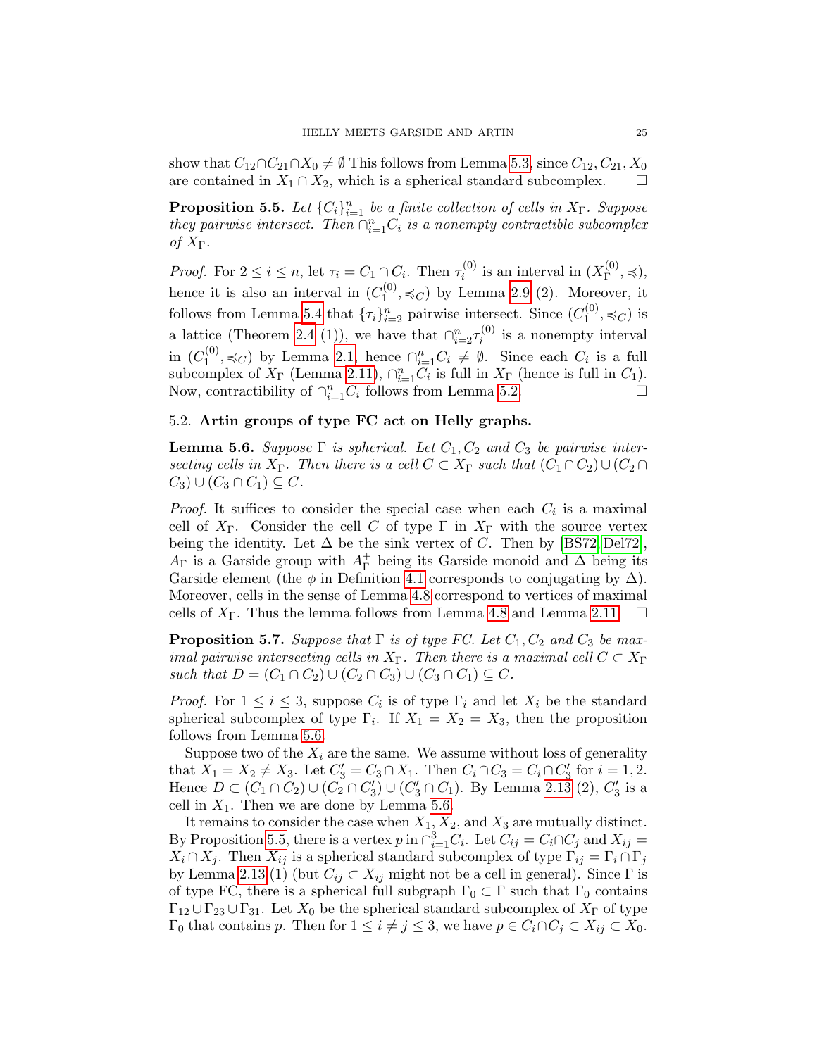show that  $C_{12} \cap C_{21} \cap X_0 \neq \emptyset$  This follows from Lemma [5.3,](#page-22-2) since  $C_{12}, C_{21}, X_0$ are contained in  $X_1 \cap X_2$ , which is a spherical standard subcomplex.

<span id="page-24-2"></span>**Proposition 5.5.** Let  ${C_i}_{i=1}^n$  be a finite collection of cells in  $X_\Gamma$ . Suppose they pairwise intersect. Then  $\bigcap_{i=1}^n C_i$  is a nonempty contractible subcomplex of  $X_{\Gamma}$ .

*Proof.* For  $2 \leq i \leq n$ , let  $\tau_i = C_1 \cap C_i$ . Then  $\tau_i^{(0)}$  $i_i^{(0)}$  is an interval in  $(X_{\Gamma}^{(0)})$  $_{\Gamma}^{(0)}, \preccurlyeq$ ), hence it is also an interval in  $(C_1^{(0)}$  $1^{(0)}$ ,  $\preccurlyeq_C$ ) by Lemma [2.9](#page-11-0) (2). Moreover, it follows from Lemma [5.4](#page-22-3) that  $\{\tau_i\}_{i=2}^n$  pairwise intersect. Since  $(C_1^{(0)}$  $j_1^{(0)}, \preccurlyeq_C$ ) is a lattice (Theorem [2.4](#page-8-3) (1)), we have that  $\bigcap_{i=2}^{n} \tau_i^{(0)}$  $i_i^{(0)}$  is a nonempty interval in  $(C_1^{(0)}$  $\mathcal{L}_{1}^{(0)},$   $\preccurlyeq_C$ ) by Lemma [2.1,](#page-7-3) hence ∩ $_{i=1}^{n}C_i \neq \emptyset$ . Since each  $C_i$  is a full subcomplex of  $X_{\Gamma}$  (Lemma [2.11\)](#page-11-2),  $\bigcap_{i=1}^{n} C_i$  is full in  $X_{\Gamma}$  (hence is full in  $C_1$ ). Now, contractibility of  $\bigcap_{i=1}^{n}C_i$  follows from Lemma [5.2.](#page-22-4)

# <span id="page-24-0"></span>5.2. Artin groups of type FC act on Helly graphs.

<span id="page-24-1"></span>**Lemma 5.6.** Suppose  $\Gamma$  is spherical. Let  $C_1, C_2$  and  $C_3$  be pairwise intersecting cells in  $X_{\Gamma}$ . Then there is a cell  $C \subset X_{\Gamma}$  such that  $(C_1 \cap C_2) \cup (C_2 \cap$  $C_3$ ) ∪  $(C_3 \cap C_1) \subseteq C$ .

*Proof.* It suffices to consider the special case when each  $C_i$  is a maximal cell of  $X_{\Gamma}$ . Consider the cell C of type  $\Gamma$  in  $X_{\Gamma}$  with the source vertex being the identity. Let  $\Delta$  be the sink vertex of C. Then by [\[BS72,](#page-26-0) [Del72\]](#page-27-1),  $A_{\Gamma}$  is a Garside group with  $A_{\Gamma}^{+}$  $\Gamma$ <sup>+</sup> being its Garside monoid and  $\Delta$  being its Garside element (the  $\phi$  in Definition [4.1](#page-17-0) corresponds to conjugating by  $\Delta$ ). Moreover, cells in the sense of Lemma [4.8](#page-19-3) correspond to vertices of maximal cells of  $X_{\Gamma}$ . Thus the lemma follows from Lemma [4.8](#page-19-3) and Lemma [2.11.](#page-11-2)  $\Box$ 

<span id="page-24-3"></span>**Proposition 5.7.** Suppose that  $\Gamma$  is of type FC. Let  $C_1$ ,  $C_2$  and  $C_3$  be maximal pairwise intersecting cells in  $X_{\Gamma}$ . Then there is a maximal cell  $C \subset X_{\Gamma}$ such that  $D = (C_1 \cap C_2) \cup (C_2 \cap C_3) \cup (C_3 \cap C_1) \subseteq C$ .

*Proof.* For  $1 \leq i \leq 3$ , suppose  $C_i$  is of type  $\Gamma_i$  and let  $X_i$  be the standard spherical subcomplex of type  $\Gamma_i$ . If  $X_1 = X_2 = X_3$ , then the proposition follows from Lemma [5.6.](#page-24-1)

Suppose two of the  $X_i$  are the same. We assume without loss of generality that  $X_1 = X_2 \neq X_3$ . Let  $C'_3 = C_3 \cap X_1$ . Then  $C_i \cap C_3 = C_i \cap C'_3$  for  $i = 1, 2$ . Hence  $D \subset (C_1 \cap C_2) \cup (C_2 \cap C_3') \cup (C_3' \cap C_1)$ . By Lemma [2.13](#page-12-2) (2),  $C_3'$  is a cell in  $X_1$ . Then we are done by Lemma [5.6.](#page-24-1)

It remains to consider the case when  $X_1, X_2$ , and  $X_3$  are mutually distinct. By Proposition [5.5,](#page-24-2) there is a vertex p in  $\bigcap_{i=1}^3 C_i$ . Let  $C_{ij} = C_i \cap C_j$  and  $X_{ij} =$  $X_i \cap X_j$ . Then  $X_{ij}$  is a spherical standard subcomplex of type  $\Gamma_{ij} = \Gamma_i \cap \Gamma_j$ by Lemma [2.13](#page-12-2) (1) (but  $C_{ij} \subset X_{ij}$  might not be a cell in general). Since  $\Gamma$  is of type FC, there is a spherical full subgraph  $\Gamma_0 \subset \Gamma$  such that  $\Gamma_0$  contains  $\Gamma_{12} \cup \Gamma_{23} \cup \Gamma_{31}$ . Let  $X_0$  be the spherical standard subcomplex of  $X_{\Gamma}$  of type  $\Gamma_0$  that contains p. Then for  $1 \leq i \neq j \leq 3$ , we have  $p \in C_i \cap C_j \subset X_{ij} \subset X_0$ .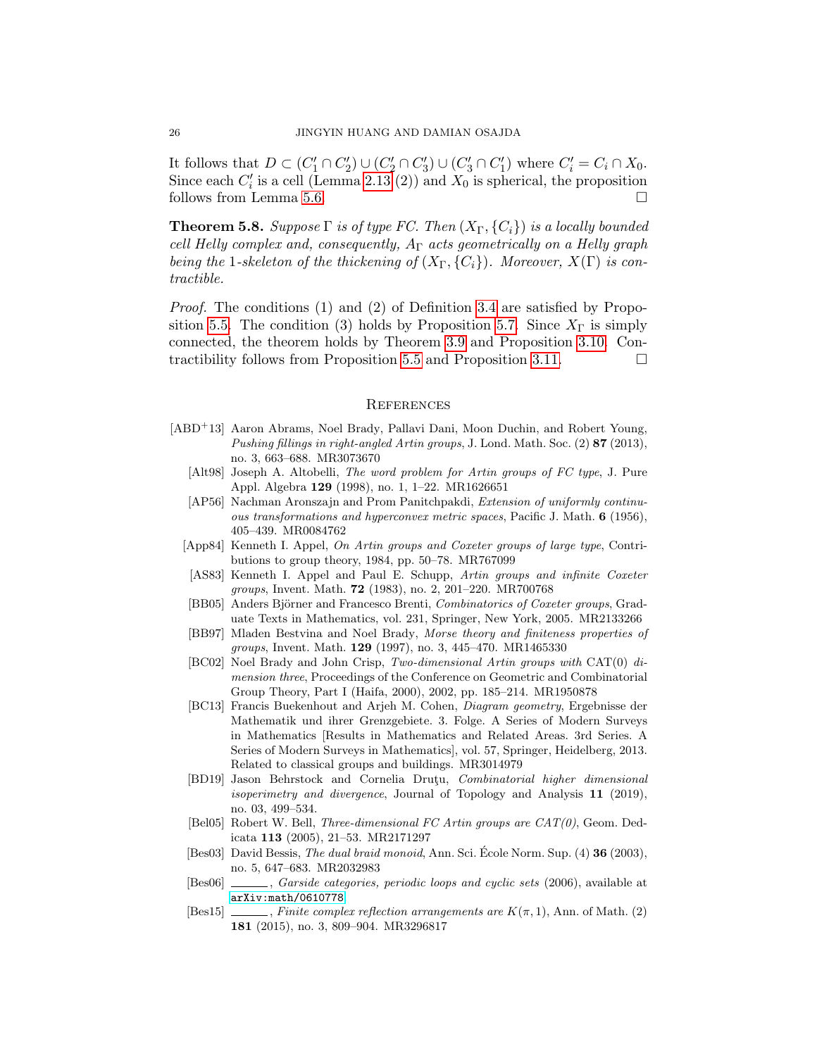It follows that  $D \subset (C'_1 \cap C'_2) \cup (C'_2 \cap C'_3) \cup (C'_3 \cap C'_1)$  where  $C'_i = C_i \cap X_0$ . Since each  $C_i'$  is a cell (Lemma [2.13](#page-12-2) (2)) and  $X_0$  is spherical, the proposition follows from Lemma [5.6.](#page-24-1)

<span id="page-25-6"></span>**Theorem 5.8.** Suppose  $\Gamma$  is of type FC. Then  $(X_{\Gamma}, \{C_i\})$  is a locally bounded cell Helly complex and, consequently,  $A_{\Gamma}$  acts geometrically on a Helly graph being the 1-skeleton of the thickening of  $(X_{\Gamma}, \{C_i\})$ . Moreover,  $X(\Gamma)$  is contractible.

Proof. The conditions (1) and (2) of Definition [3.4](#page-14-2) are satisfied by Propo-sition [5.5.](#page-24-2) The condition (3) holds by Proposition [5.7.](#page-24-3) Since  $X_{\Gamma}$  is simply connected, the theorem holds by Theorem [3.9](#page-15-1) and Proposition [3.10.](#page-16-2) Con-tractibility follows from Proposition [5.5](#page-24-2) and Proposition [3.11.](#page-16-3)  $\Box$ 

#### <span id="page-25-0"></span>**REFERENCES**

- <span id="page-25-15"></span><span id="page-25-14"></span><span id="page-25-13"></span><span id="page-25-12"></span><span id="page-25-11"></span><span id="page-25-10"></span><span id="page-25-9"></span><span id="page-25-8"></span><span id="page-25-7"></span><span id="page-25-5"></span><span id="page-25-4"></span><span id="page-25-3"></span><span id="page-25-2"></span><span id="page-25-1"></span>[ABD<sup>+</sup>13] Aaron Abrams, Noel Brady, Pallavi Dani, Moon Duchin, and Robert Young, Pushing fillings in right-angled Artin groups, J. Lond. Math. Soc. (2) 87 (2013), no. 3, 663–688. MR3073670
	- [Alt98] Joseph A. Altobelli, The word problem for Artin groups of FC type, J. Pure Appl. Algebra 129 (1998), no. 1, 1–22. MR1626651
	- [AP56] Nachman Aronszajn and Prom Panitchpakdi, Extension of uniformly continuous transformations and hyperconvex metric spaces, Pacific J. Math. 6 (1956), 405–439. MR0084762
	- [App84] Kenneth I. Appel, On Artin groups and Coxeter groups of large type, Contributions to group theory, 1984, pp. 50–78. MR767099
	- [AS83] Kenneth I. Appel and Paul E. Schupp, Artin groups and infinite Coxeter groups, Invent. Math. 72 (1983), no. 2, 201–220. MR700768
	- [BB05] Anders Björner and Francesco Brenti, *Combinatorics of Coxeter groups*, Graduate Texts in Mathematics, vol. 231, Springer, New York, 2005. MR2133266
	- [BB97] Mladen Bestvina and Noel Brady, Morse theory and finiteness properties of groups, Invent. Math. 129 (1997), no. 3, 445–470. MR1465330
	- [BC02] Noel Brady and John Crisp, Two-dimensional Artin groups with CAT(0) dimension three, Proceedings of the Conference on Geometric and Combinatorial Group Theory, Part I (Haifa, 2000), 2002, pp. 185–214. MR1950878
	- [BC13] Francis Buekenhout and Arjeh M. Cohen, Diagram geometry, Ergebnisse der Mathematik und ihrer Grenzgebiete. 3. Folge. A Series of Modern Surveys in Mathematics [Results in Mathematics and Related Areas. 3rd Series. A Series of Modern Surveys in Mathematics], vol. 57, Springer, Heidelberg, 2013. Related to classical groups and buildings. MR3014979
	- [BD19] Jason Behrstock and Cornelia Drutu, Combinatorial higher dimensional isoperimetry and divergence, Journal of Topology and Analysis 11 (2019), no. 03, 499–534.
	- [Bel05] Robert W. Bell, Three-dimensional FC Artin groups are CAT(0), Geom. Dedicata 113 (2005), 21–53. MR2171297
	- [Bes03] David Bessis, *The dual braid monoid*, Ann. Sci. Ecole Norm. Sup.  $(4)$  **36** (2003), no. 5, 647–683. MR2032983
	- [Bes06] , Garside categories, periodic loops and cyclic sets (2006), available at <arXiv:math/0610778>.
	- [Bes15]  $\ldots$ , Finite complex reflection arrangements are  $K(\pi, 1)$ , Ann. of Math. (2) 181 (2015), no. 3, 809–904. MR3296817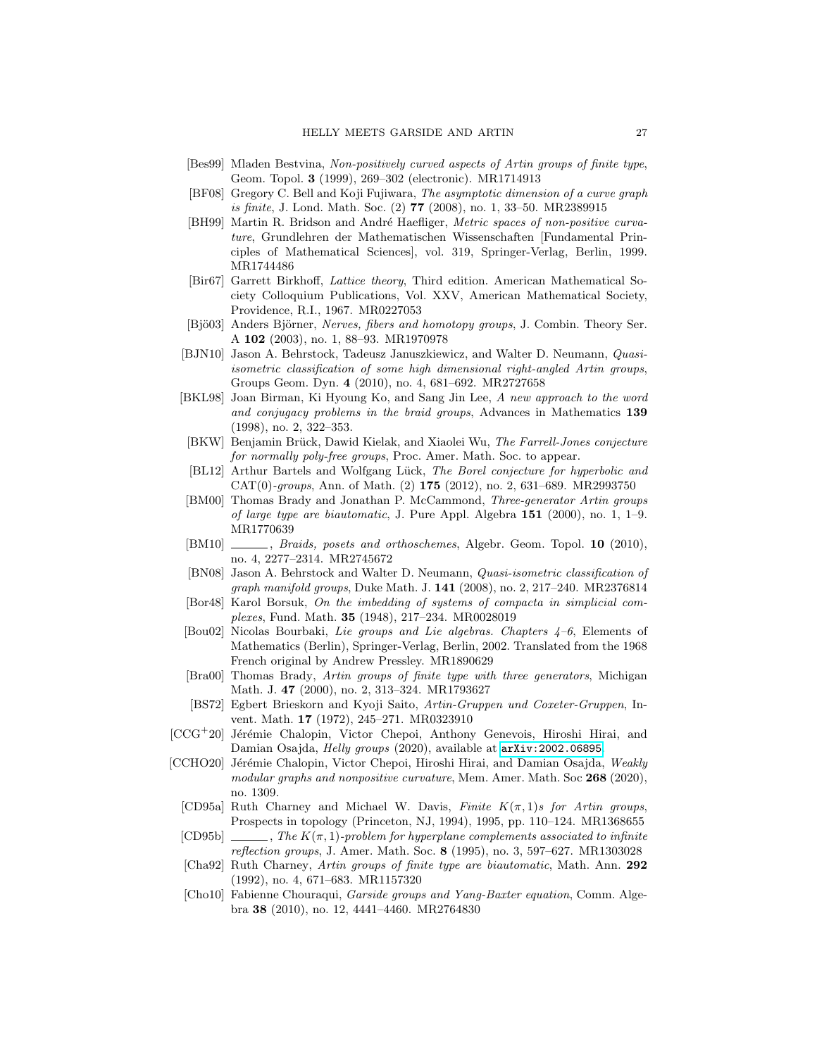- <span id="page-26-12"></span>[Bes99] Mladen Bestvina, Non-positively curved aspects of Artin groups of finite type, Geom. Topol. 3 (1999), 269–302 (electronic). MR1714913
- <span id="page-26-15"></span>[BF08] Gregory C. Bell and Koji Fujiwara, The asymptotic dimension of a curve graph is finite, J. Lond. Math. Soc. (2) 77 (2008), no. 1, 33–50. MR2389915
- <span id="page-26-18"></span>[BH99] Martin R. Bridson and André Haefliger, Metric spaces of non-positive curvature, Grundlehren der Mathematischen Wissenschaften [Fundamental Principles of Mathematical Sciences], vol. 319, Springer-Verlag, Berlin, 1999. MR1744486
- <span id="page-26-16"></span>[Bir67] Garrett Birkhoff, Lattice theory, Third edition. American Mathematical Society Colloquium Publications, Vol. XXV, American Mathematical Society, Providence, R.I., 1967. MR0227053
- <span id="page-26-19"></span>[Bjö03] Anders Björner, Nerves, fibers and homotopy groups, J. Combin. Theory Ser. A 102 (2003), no. 1, 88–93. MR1970978
- <span id="page-26-10"></span>[BJN10] Jason A. Behrstock, Tadeusz Januszkiewicz, and Walter D. Neumann, Quasiisometric classification of some high dimensional right-angled Artin groups, Groups Geom. Dyn. 4 (2010), no. 4, 681–692. MR2727658
- <span id="page-26-21"></span>[BKL98] Joan Birman, Ki Hyoung Ko, and Sang Jin Lee, A new approach to the word and conjugacy problems in the braid groups, Advances in Mathematics 139 (1998), no. 2, 322–353.
- <span id="page-26-14"></span>[BKW] Benjamin Brück, Dawid Kielak, and Xiaolei Wu, The Farrell-Jones conjecture for normally poly-free groups, Proc. Amer. Math. Soc. to appear.
- <span id="page-26-13"></span>[BL12] Arthur Bartels and Wolfgang Lück, The Borel conjecture for hyperbolic and  $CAT(0)$ -groups, Ann. of Math. (2) 175 (2012), no. 2, 631–689. MR2993750
- <span id="page-26-5"></span>[BM00] Thomas Brady and Jonathan P. McCammond, Three-generator Artin groups of large type are biautomatic, J. Pure Appl. Algebra 151 (2000), no. 1, 1–9. MR1770639
- <span id="page-26-7"></span>[BM10]  $\qquad \qquad$ , *Braids, posets and orthoschemes*, Algebr. Geom. Topol. **10** (2010), no. 4, 2277–2314. MR2745672
- <span id="page-26-9"></span>[BN08] Jason A. Behrstock and Walter D. Neumann, Quasi-isometric classification of graph manifold groups, Duke Math. J. 141 (2008), no. 2, 217–240. MR2376814
- <span id="page-26-20"></span>[Bor48] Karol Borsuk, On the imbedding of systems of compacta in simplicial complexes, Fund. Math. 35 (1948), 217–234. MR0028019
- <span id="page-26-17"></span>[Bou02] Nicolas Bourbaki, Lie groups and Lie algebras. Chapters 4–6, Elements of Mathematics (Berlin), Springer-Verlag, Berlin, 2002. Translated from the 1968 French original by Andrew Pressley. MR1890629
- <span id="page-26-6"></span>[Bra00] Thomas Brady, Artin groups of finite type with three generators, Michigan Math. J. 47 (2000), no. 2, 313-324. MR1793627
- <span id="page-26-0"></span>[BS72] Egbert Brieskorn and Kyoji Saito, Artin-Gruppen und Coxeter-Gruppen, Invent. Math. 17 (1972), 245–271. MR0323910
- <span id="page-26-1"></span> $[CCG^+20]$  Jérémie Chalopin, Victor Chepoi, Anthony Genevois, Hiroshi Hirai, and Damian Osajda, *Helly groups* (2020), available at  $arXiv:2002.06895$ .
- <span id="page-26-11"></span><span id="page-26-8"></span><span id="page-26-4"></span><span id="page-26-3"></span><span id="page-26-2"></span>[CCHO20] Jérémie Chalopin, Victor Chepoi, Hiroshi Hirai, and Damian Osajda, Weakly modular graphs and nonpositive curvature, Mem. Amer. Math. Soc 268 (2020), no. 1309.
	- [CD95a] Ruth Charney and Michael W. Davis, Finite  $K(\pi, 1)s$  for Artin groups, Prospects in topology (Princeton, NJ, 1994), 1995, pp. 110–124. MR1368655
	- [CD95b]  $\ldots$ , The  $K(\pi, 1)$ -problem for hyperplane complements associated to infinite reflection groups, J. Amer. Math. Soc. 8 (1995), no. 3, 597–627. MR1303028
	- [Cha92] Ruth Charney, Artin groups of finite type are biautomatic, Math. Ann. 292 (1992), no. 4, 671–683. MR1157320
	- [Cho10] Fabienne Chouraqui, Garside groups and Yang-Baxter equation, Comm. Algebra 38 (2010), no. 12, 4441–4460. MR2764830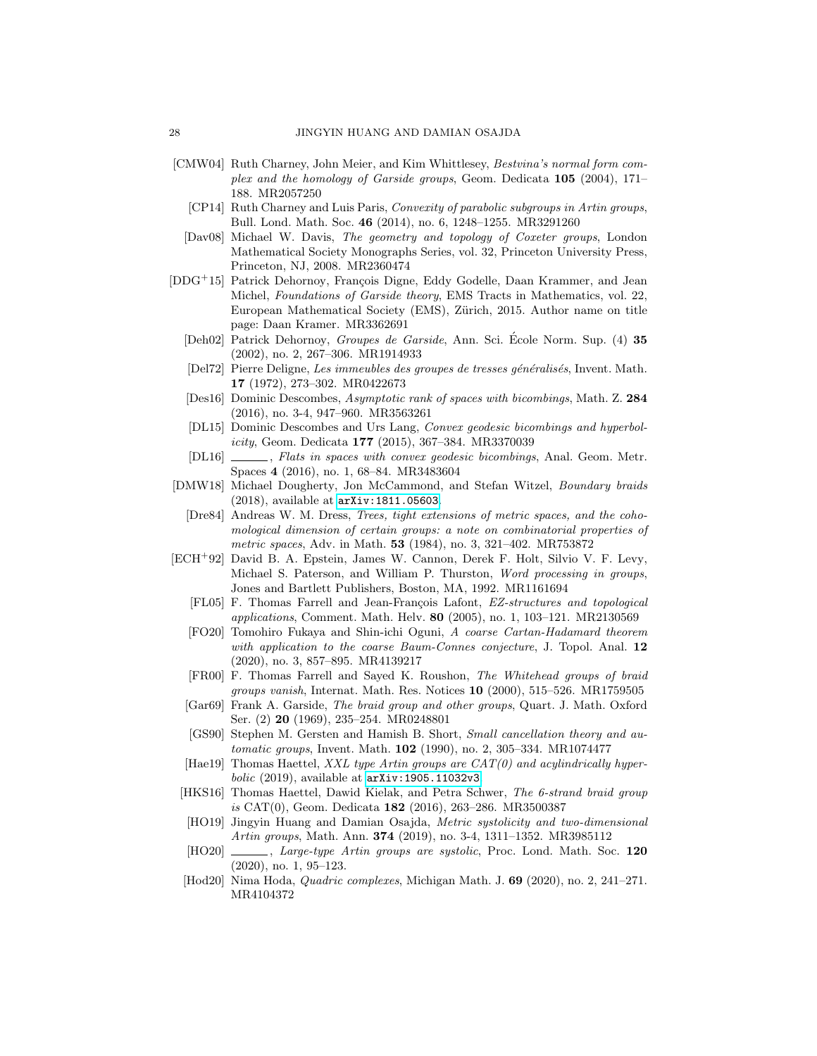- <span id="page-27-21"></span><span id="page-27-19"></span>[CMW04] Ruth Charney, John Meier, and Kim Whittlesey, Bestvina's normal form complex and the homology of Garside groups, Geom. Dedicata 105 (2004), 171– 188. MR2057250
	- [CP14] Ruth Charney and Luis Paris, *Convexity of parabolic subgroups in Artin groups*, Bull. Lond. Math. Soc. 46 (2014), no. 6, 1248–1255. MR3291260
	- [Dav08] Michael W. Davis, The geometry and topology of Coxeter groups, London Mathematical Society Monographs Series, vol. 32, Princeton University Press, Princeton, NJ, 2008. MR2360474
- <span id="page-27-20"></span><span id="page-27-18"></span><span id="page-27-5"></span><span id="page-27-1"></span>[DDG<sup>+</sup>15] Patrick Dehornoy, François Digne, Eddy Godelle, Daan Krammer, and Jean Michel, *Foundations of Garside theory*, EMS Tracts in Mathematics, vol. 22, European Mathematical Society (EMS), Zürich, 2015. Author name on title page: Daan Kramer. MR3362691
	- [Deh02] Patrick Dehornoy, Groupes de Garside, Ann. Sci. Ecole Norm. Sup. (4) 35 (2002), no. 2, 267–306. MR1914933
	- [Del72] Pierre Deligne, Les immeubles des groupes de tresses généralisés, Invent. Math. 17 (1972), 273–302. MR0422673
	- [Des16] Dominic Descombes, Asymptotic rank of spaces with bicombings, Math. Z. 284 (2016), no. 3-4, 947–960. MR3563261
	- [DL15] Dominic Descombes and Urs Lang, Convex geodesic bicombings and hyperbol $icity$ , Geom. Dedicata 177 (2015), 367–384. MR3370039
	- [DL16]  $\qquad \qquad$ , Flats in spaces with convex geodesic bicombings, Anal. Geom. Metr. Spaces 4 (2016), no. 1, 68–84. MR3483604
- <span id="page-27-12"></span><span id="page-27-8"></span><span id="page-27-4"></span><span id="page-27-3"></span><span id="page-27-2"></span>[DMW18] Michael Dougherty, Jon McCammond, and Stefan Witzel, Boundary braids (2018), available at <arXiv:1811.05603>.
	- [Dre84] Andreas W. M. Dress, Trees, tight extensions of metric spaces, and the cohomological dimension of certain groups: a note on combinatorial properties of metric spaces, Adv. in Math. **53** (1984), no. 3, 321-402. MR753872
- <span id="page-27-17"></span><span id="page-27-16"></span><span id="page-27-15"></span><span id="page-27-14"></span><span id="page-27-13"></span><span id="page-27-11"></span><span id="page-27-10"></span><span id="page-27-9"></span><span id="page-27-7"></span><span id="page-27-6"></span><span id="page-27-0"></span>[ECH<sup>+</sup>92] David B. A. Epstein, James W. Cannon, Derek F. Holt, Silvio V. F. Levy, Michael S. Paterson, and William P. Thurston, Word processing in groups, Jones and Bartlett Publishers, Boston, MA, 1992. MR1161694
	- [FL05] F. Thomas Farrell and Jean-François Lafont, EZ-structures and topological applications, Comment. Math. Helv. 80 (2005), no. 1, 103–121. MR2130569
	- [FO20] Tomohiro Fukaya and Shin-ichi Oguni, A coarse Cartan-Hadamard theorem with application to the coarse Baum-Connes conjecture, J. Topol. Anal. 12 (2020), no. 3, 857–895. MR4139217
	- [FR00] F. Thomas Farrell and Sayed K. Roushon, The Whitehead groups of braid groups vanish, Internat. Math. Res. Notices 10 (2000), 515–526. MR1759505
	- [Gar69] Frank A. Garside, The braid group and other groups, Quart. J. Math. Oxford Ser. (2) 20 (1969), 235–254. MR0248801
	- [GS90] Stephen M. Gersten and Hamish B. Short, Small cancellation theory and automatic groups, Invent. Math. **102** (1990), no. 2, 305-334. MR1074477
	- [Hae19] Thomas Haettel, XXL type Artin groups are  $CAT(0)$  and acylindrically hyper $bolic$  (2019), available at  $arXiv:1905.11032v3$ .
	- [HKS16] Thomas Haettel, Dawid Kielak, and Petra Schwer, The 6-strand braid group is CAT(0), Geom. Dedicata 182 (2016), 263–286. MR3500387
	- [HO19] Jingyin Huang and Damian Osajda, Metric systolicity and two-dimensional Artin groups, Math. Ann. **374** (2019), no. 3-4, 1311-1352. MR3985112
	- [HO20]  $\_\_\_\_\_\$  Large-type Artin groups are systolic, Proc. Lond. Math. Soc. 120 (2020), no. 1, 95–123.
	- [Hod20] Nima Hoda, Quadric complexes, Michigan Math. J. 69 (2020), no. 2, 241–271. MR4104372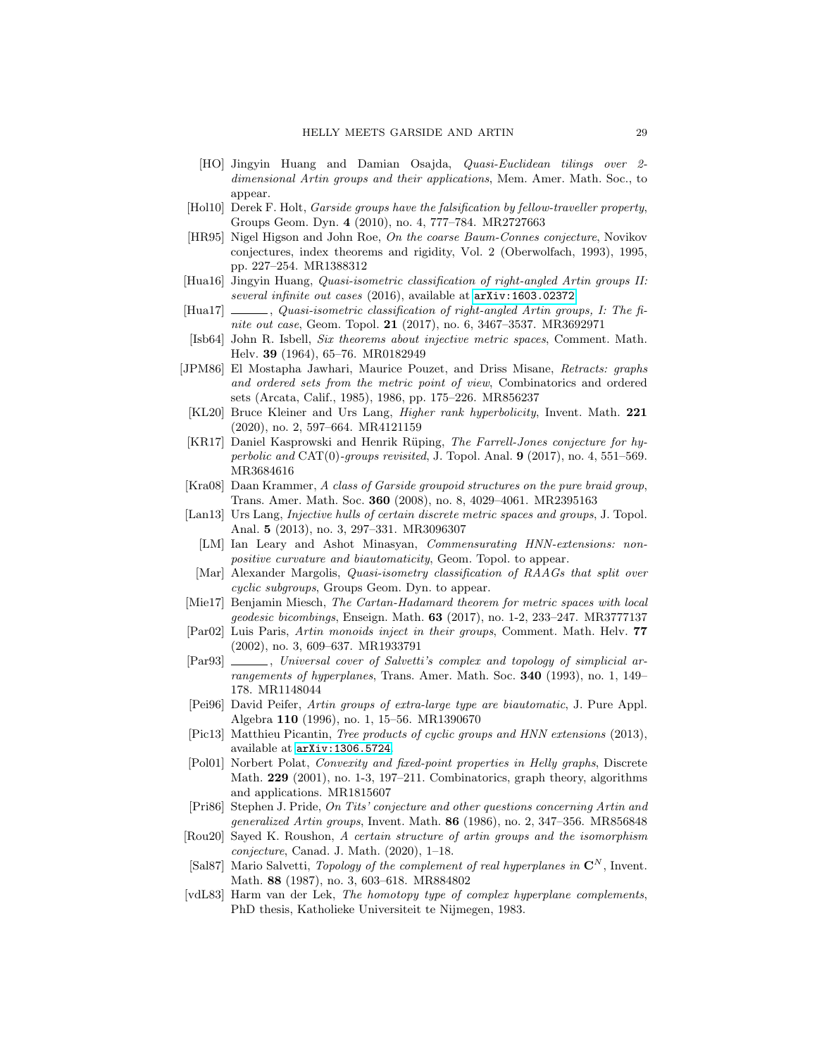- <span id="page-28-8"></span>[HO] Jingyin Huang and Damian Osajda, Quasi-Euclidean tilings over 2 dimensional Artin groups and their applications, Mem. Amer. Math. Soc., to appear.
- <span id="page-28-12"></span>[Hol10] Derek F. Holt, Garside groups have the falsification by fellow-traveller property, Groups Geom. Dyn. 4 (2010), no. 4, 777–784. MR2727663
- <span id="page-28-15"></span>[HR95] Nigel Higson and John Roe, On the coarse Baum-Connes conjecture, Novikov conjectures, index theorems and rigidity, Vol. 2 (Oberwolfach, 1993), 1995, pp. 227–254. MR1388312
- <span id="page-28-7"></span>[Hua16] Jingyin Huang, Quasi-isometric classification of right-angled Artin groups II: several infinite out cases (2016), available at  $arXiv:1603.02372$ .
- <span id="page-28-6"></span> $[Hua17] \_\_\_\_\_$ , Quasi-isometric classification of right-angled Artin groups, I: The finite out case, Geom. Topol. **21** (2017), no. 6, 3467-3537. MR3692971
- <span id="page-28-10"></span>[Isb64] John R. Isbell, Six theorems about injective metric spaces, Comment. Math. Helv. 39 (1964), 65–76. MR0182949
- <span id="page-28-11"></span>[JPM86] El Mostapha Jawhari, Maurice Pouzet, and Driss Misane, Retracts: graphs and ordered sets from the metric point of view, Combinatorics and ordered sets (Arcata, Calif., 1985), 1986, pp. 175–226. MR856237
- <span id="page-28-5"></span>[KL20] Bruce Kleiner and Urs Lang, Higher rank hyperbolicity, Invent. Math. 221 (2020), no. 2, 597–664. MR4121159
- <span id="page-28-13"></span>[KR17] Daniel Kasprowski and Henrik Rüping, The Farrell-Jones conjecture for hyperbolic and  $CAT(0)$ -groups revisited, J. Topol. Anal. **9** (2017), no. 4, 551–569. MR3684616
- <span id="page-28-20"></span>[Kra08] Daan Krammer, A class of Garside groupoid structures on the pure braid group, Trans. Amer. Math. Soc. 360 (2008), no. 8, 4029–4061. MR2395163
- <span id="page-28-4"></span><span id="page-28-1"></span>[Lan13] Urs Lang, Injective hulls of certain discrete metric spaces and groups, J. Topol. Anal. 5 (2013), no. 3, 297–331. MR3096307
	- [LM] Ian Leary and Ashot Minasyan, Commensurating HNN-extensions: nonpositive curvature and biautomaticity, Geom. Topol. to appear.
- <span id="page-28-9"></span>[Mar] Alexander Margolis, Quasi-isometry classification of RAAGs that split over cyclic subgroups, Groups Geom. Dyn. to appear.
- <span id="page-28-2"></span>[Mie17] Benjamin Miesch, The Cartan-Hadamard theorem for metric spaces with local geodesic bicombings, Enseign. Math. 63 (2017), no. 1-2, 233–247. MR3777137
- <span id="page-28-17"></span>[Par02] Luis Paris, Artin monoids inject in their groups, Comment. Math. Helv. 77 (2002), no. 3, 609–637. MR1933791
- <span id="page-28-22"></span>[Par93]  $\_\_\_\_\_\$ n Universal cover of Salvetti's complex and topology of simplicial arrangements of hyperplanes, Trans. Amer. Math. Soc. 340 (1993), no. 1, 149– 178. MR1148044
- <span id="page-28-16"></span>[Pei96] David Peifer, Artin groups of extra-large type are biautomatic, J. Pure Appl. Algebra 110 (1996), no. 1, 15–56. MR1390670
- <span id="page-28-3"></span>[Pic13] Matthieu Picantin, Tree products of cyclic groups and HNN extensions (2013), available at <arXiv:1306.5724>.
- <span id="page-28-19"></span>[Pol01] Norbert Polat, Convexity and fixed-point properties in Helly graphs, Discrete Math. 229 (2001), no. 1-3, 197–211. Combinatorics, graph theory, algorithms and applications. MR1815607
- <span id="page-28-0"></span>[Pri86] Stephen J. Pride, On Tits' conjecture and other questions concerning Artin and generalized Artin groups, Invent. Math. 86 (1986), no. 2, 347–356. MR856848
- <span id="page-28-14"></span>[Rou20] Sayed K. Roushon, A certain structure of artin groups and the isomorphism conjecture, Canad. J. Math. (2020), 1–18.
- <span id="page-28-21"></span>[Sal87] Mario Salvetti, Topology of the complement of real hyperplanes in  $\mathbb{C}^N$ , Invent. Math. 88 (1987), no. 3, 603–618. MR884802
- <span id="page-28-18"></span>[vdL83] Harm van der Lek, The homotopy type of complex hyperplane complements, PhD thesis, Katholieke Universiteit te Nijmegen, 1983.